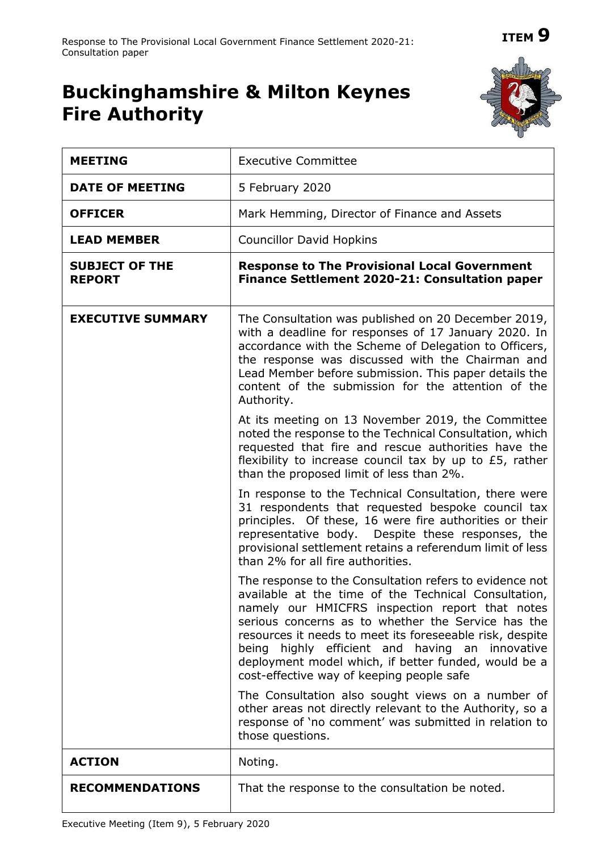## **ITEM 9**

## **Buckinghamshire & Milton Keynes Fire Authority**



| <b>MEETING</b>                         | <b>Executive Committee</b>                                                                                                                                                                                                                                                                                                                                                                                                                   |  |  |  |
|----------------------------------------|----------------------------------------------------------------------------------------------------------------------------------------------------------------------------------------------------------------------------------------------------------------------------------------------------------------------------------------------------------------------------------------------------------------------------------------------|--|--|--|
| <b>DATE OF MEETING</b>                 | 5 February 2020                                                                                                                                                                                                                                                                                                                                                                                                                              |  |  |  |
| <b>OFFICER</b>                         | Mark Hemming, Director of Finance and Assets                                                                                                                                                                                                                                                                                                                                                                                                 |  |  |  |
| <b>LEAD MEMBER</b>                     | <b>Councillor David Hopkins</b>                                                                                                                                                                                                                                                                                                                                                                                                              |  |  |  |
| <b>SUBJECT OF THE</b><br><b>REPORT</b> | <b>Response to The Provisional Local Government</b><br>Finance Settlement 2020-21: Consultation paper                                                                                                                                                                                                                                                                                                                                        |  |  |  |
| <b>EXECUTIVE SUMMARY</b>               | The Consultation was published on 20 December 2019,<br>with a deadline for responses of 17 January 2020. In<br>accordance with the Scheme of Delegation to Officers,<br>the response was discussed with the Chairman and<br>Lead Member before submission. This paper details the<br>content of the submission for the attention of the<br>Authority.                                                                                        |  |  |  |
|                                        | At its meeting on 13 November 2019, the Committee<br>noted the response to the Technical Consultation, which<br>requested that fire and rescue authorities have the<br>flexibility to increase council tax by up to £5, rather<br>than the proposed limit of less than 2%.                                                                                                                                                                   |  |  |  |
|                                        | In response to the Technical Consultation, there were<br>31 respondents that requested bespoke council tax<br>principles. Of these, 16 were fire authorities or their<br>representative body. Despite these responses, the<br>provisional settlement retains a referendum limit of less<br>than 2% for all fire authorities.                                                                                                                 |  |  |  |
|                                        | The response to the Consultation refers to evidence not<br>available at the time of the Technical Consultation,<br>namely our HMICFRS inspection report that notes<br>serious concerns as to whether the Service has the<br>resources it needs to meet its foreseeable risk, despite<br>being highly efficient and having an innovative<br>deployment model which, if better funded, would be a<br>cost-effective way of keeping people safe |  |  |  |
|                                        | The Consultation also sought views on a number of<br>other areas not directly relevant to the Authority, so a<br>response of 'no comment' was submitted in relation to<br>those questions.                                                                                                                                                                                                                                                   |  |  |  |
| <b>ACTION</b>                          | Noting.                                                                                                                                                                                                                                                                                                                                                                                                                                      |  |  |  |
| <b>RECOMMENDATIONS</b>                 | That the response to the consultation be noted.                                                                                                                                                                                                                                                                                                                                                                                              |  |  |  |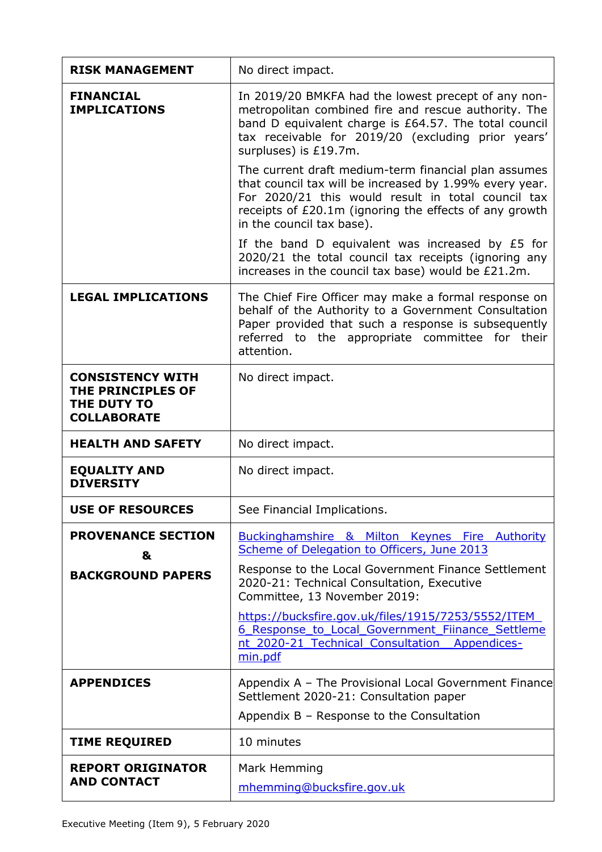| <b>RISK MANAGEMENT</b>                                                                   | No direct impact.                                                                                                                                                                                                                                            |
|------------------------------------------------------------------------------------------|--------------------------------------------------------------------------------------------------------------------------------------------------------------------------------------------------------------------------------------------------------------|
| <b>FINANCIAL</b><br><b>IMPLICATIONS</b>                                                  | In 2019/20 BMKFA had the lowest precept of any non-<br>metropolitan combined fire and rescue authority. The<br>band D equivalent charge is £64.57. The total council<br>tax receivable for 2019/20 (excluding prior years'<br>surpluses) is £19.7m.          |
|                                                                                          | The current draft medium-term financial plan assumes<br>that council tax will be increased by 1.99% every year.<br>For 2020/21 this would result in total council tax<br>receipts of £20.1m (ignoring the effects of any growth<br>in the council tax base). |
|                                                                                          | If the band D equivalent was increased by £5 for<br>2020/21 the total council tax receipts (ignoring any<br>increases in the council tax base) would be £21.2m.                                                                                              |
| <b>LEGAL IMPLICATIONS</b>                                                                | The Chief Fire Officer may make a formal response on<br>behalf of the Authority to a Government Consultation<br>Paper provided that such a response is subsequently<br>referred to the appropriate committee for their<br>attention.                         |
| <b>CONSISTENCY WITH</b><br><b>THE PRINCIPLES OF</b><br>THE DUTY TO<br><b>COLLABORATE</b> | No direct impact.                                                                                                                                                                                                                                            |
| <b>HEALTH AND SAFETY</b>                                                                 | No direct impact.                                                                                                                                                                                                                                            |
| <b>EQUALITY AND</b><br><b>DIVERSITY</b>                                                  | No direct impact.                                                                                                                                                                                                                                            |
| <b>USE OF RESOURCES</b>                                                                  | See Financial Implications.                                                                                                                                                                                                                                  |
| <b>PROVENANCE SECTION</b><br>&                                                           | Buckinghamshire & Milton Keynes Fire Authority<br>Scheme of Delegation to Officers, June 2013                                                                                                                                                                |
| <b>BACKGROUND PAPERS</b>                                                                 | Response to the Local Government Finance Settlement<br>2020-21: Technical Consultation, Executive<br>Committee, 13 November 2019:                                                                                                                            |
|                                                                                          | https://bucksfire.gov.uk/files/1915/7253/5552/ITEM<br>6 Response to Local Government Fiinance Settleme<br>nt 2020-21 Technical Consultation Appendices-<br>min.pdf                                                                                           |
| <b>APPENDICES</b>                                                                        | Appendix A - The Provisional Local Government Finance<br>Settlement 2020-21: Consultation paper                                                                                                                                                              |
|                                                                                          | Appendix B - Response to the Consultation                                                                                                                                                                                                                    |
| <b>TIME REQUIRED</b>                                                                     | 10 minutes                                                                                                                                                                                                                                                   |
| <b>REPORT ORIGINATOR</b><br><b>AND CONTACT</b>                                           | Mark Hemming<br>mhemming@bucksfire.gov.uk                                                                                                                                                                                                                    |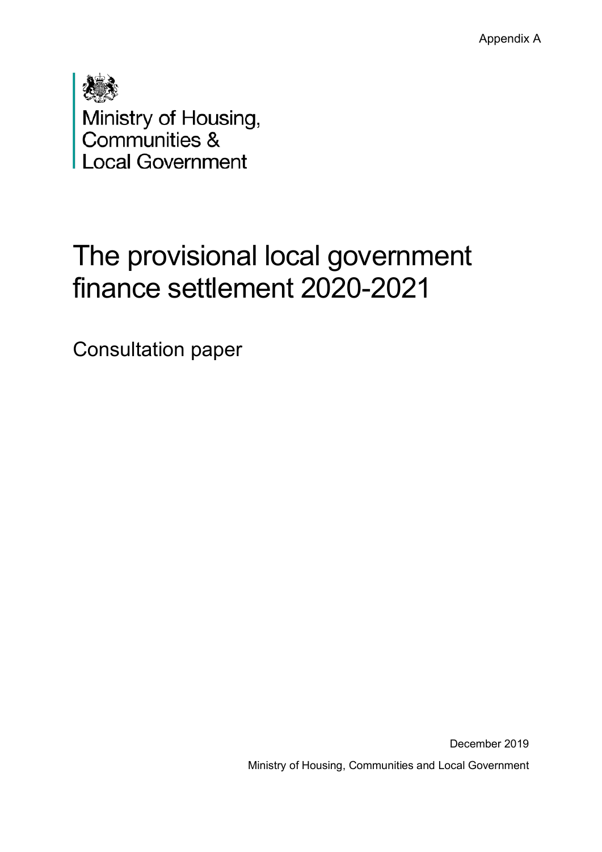Appendix A

| Ministry of Housing,    |
|-------------------------|
| Communities &           |
| <b>Local Government</b> |

# The provisional local government finance settlement 2020-2021

Consultation paper

December 2019 Ministry of Housing, Communities and Local Government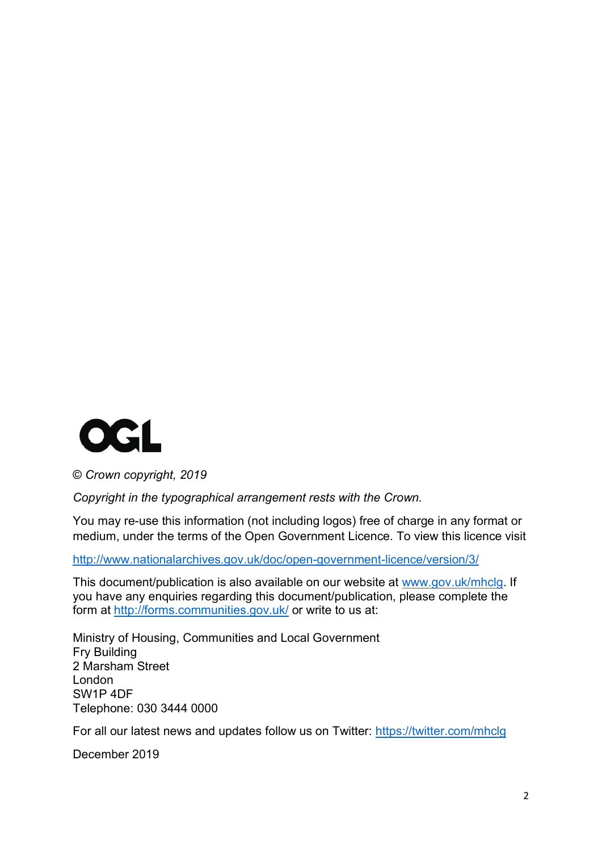

© *Crown copyright, 2019*

*Copyright in the typographical arrangement rests with the Crown.*

You may re-use this information (not including logos) free of charge in any format or medium, under the terms of the Open Government Licence. To view this licence visit

<http://www.nationalarchives.gov.uk/doc/open-government-licence/version/3/>

This document/publication is also available on our website at [www.gov.uk/mhclg.](http://www.gov.uk/mhclg) If you have any enquiries regarding this document/publication, please complete the form at<http://forms.communities.gov.uk/> or write to us at:

Ministry of Housing, Communities and Local Government Fry Building 2 Marsham Street London SW1P 4DF Telephone: 030 3444 0000

For all our latest news and updates follow us on Twitter:<https://twitter.com/mhclg>

December 2019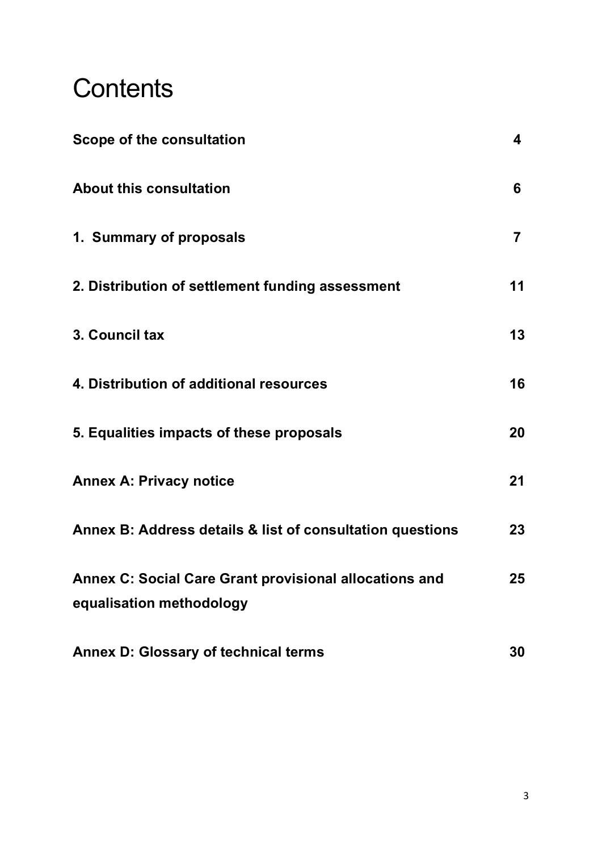# **Contents**

| Scope of the consultation                                                          | 4                       |
|------------------------------------------------------------------------------------|-------------------------|
| <b>About this consultation</b>                                                     | 6                       |
| 1. Summary of proposals                                                            | $\overline{\mathbf{7}}$ |
| 2. Distribution of settlement funding assessment                                   | 11                      |
| 3. Council tax                                                                     | 13                      |
| 4. Distribution of additional resources                                            | 16                      |
| 5. Equalities impacts of these proposals                                           | 20                      |
| <b>Annex A: Privacy notice</b>                                                     | 21                      |
| Annex B: Address details & list of consultation questions                          | 23                      |
| Annex C: Social Care Grant provisional allocations and<br>equalisation methodology | 25                      |
| <b>Annex D: Glossary of technical terms</b>                                        | 30                      |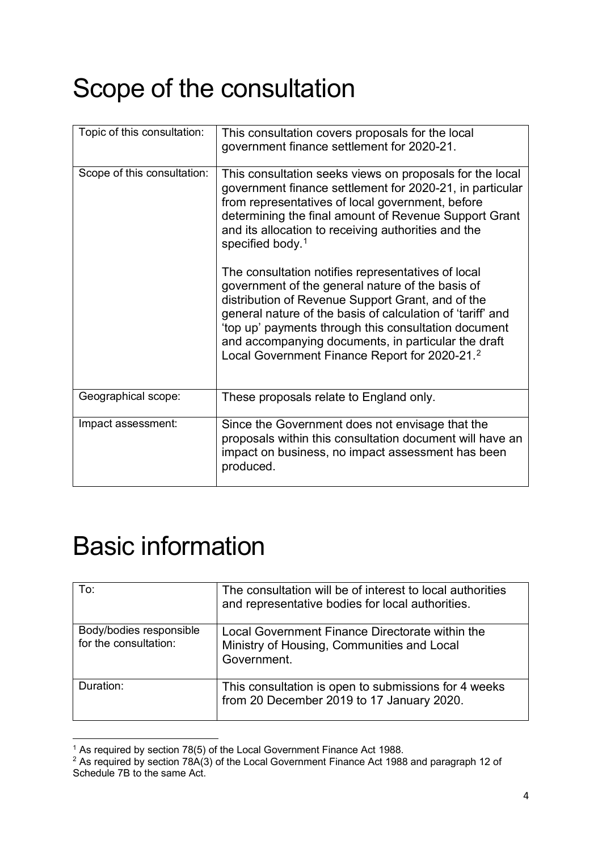# Scope of the consultation

| Topic of this consultation: | This consultation covers proposals for the local<br>government finance settlement for 2020-21.                                                                                                                                                                                                                                                                                                        |  |
|-----------------------------|-------------------------------------------------------------------------------------------------------------------------------------------------------------------------------------------------------------------------------------------------------------------------------------------------------------------------------------------------------------------------------------------------------|--|
| Scope of this consultation: | This consultation seeks views on proposals for the local<br>government finance settlement for 2020-21, in particular<br>from representatives of local government, before<br>determining the final amount of Revenue Support Grant<br>and its allocation to receiving authorities and the<br>specified body. <sup>1</sup>                                                                              |  |
|                             | The consultation notifies representatives of local<br>government of the general nature of the basis of<br>distribution of Revenue Support Grant, and of the<br>general nature of the basis of calculation of 'tariff' and<br>'top up' payments through this consultation document<br>and accompanying documents, in particular the draft<br>Local Government Finance Report for 2020-21. <sup>2</sup> |  |
| Geographical scope:         | These proposals relate to England only.                                                                                                                                                                                                                                                                                                                                                               |  |
| Impact assessment:          | Since the Government does not envisage that the<br>proposals within this consultation document will have an<br>impact on business, no impact assessment has been<br>produced.                                                                                                                                                                                                                         |  |

# Basic information

| To:                                              | The consultation will be of interest to local authorities<br>and representative bodies for local authorities. |
|--------------------------------------------------|---------------------------------------------------------------------------------------------------------------|
| Body/bodies responsible<br>for the consultation: | Local Government Finance Directorate within the<br>Ministry of Housing, Communities and Local<br>Government.  |
| Duration:                                        | This consultation is open to submissions for 4 weeks<br>from 20 December 2019 to 17 January 2020.             |

<span id="page-5-0"></span><sup>1</sup> As required by section 78(5) of the Local Government Finance Act 1988.

<span id="page-5-1"></span><sup>2</sup> As required by section 78A(3) of the Local Government Finance Act 1988 and paragraph 12 of Schedule 7B to the same Act.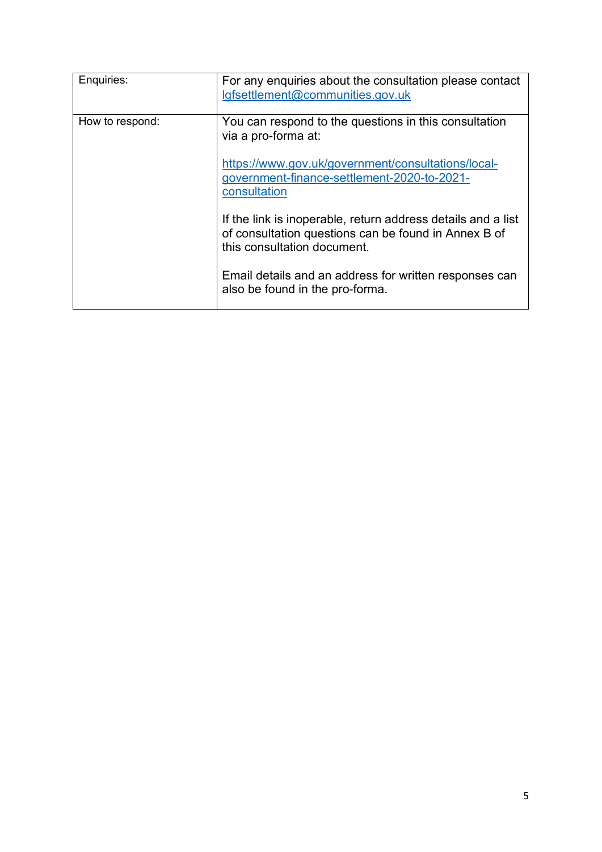| Enquiries:      | For any enquiries about the consultation please contact<br>lgfsettlement@communities.gov.uk                                                                                                       |
|-----------------|---------------------------------------------------------------------------------------------------------------------------------------------------------------------------------------------------|
| How to respond: | You can respond to the questions in this consultation<br>via a pro-forma at:<br>https://www.gov.uk/government/consultations/local-<br>government-finance-settlement-2020-to-2021-<br>consultation |
|                 | If the link is inoperable, return address details and a list<br>of consultation questions can be found in Annex B of<br>this consultation document.                                               |
|                 | Email details and an address for written responses can<br>also be found in the pro-forma.                                                                                                         |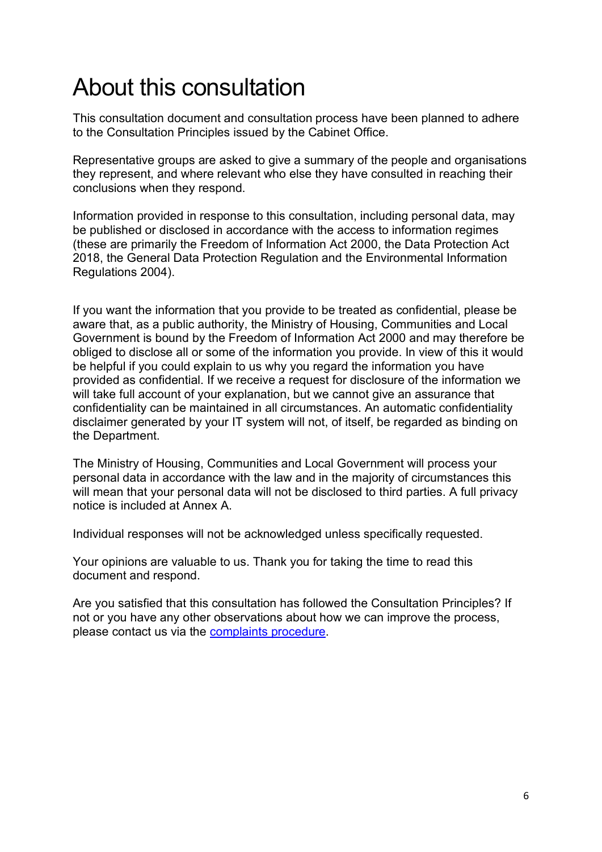# About this consultation

This consultation document and consultation process have been planned to adhere to the Consultation Principles issued by the Cabinet Office.

Representative groups are asked to give a summary of the people and organisations they represent, and where relevant who else they have consulted in reaching their conclusions when they respond.

Information provided in response to this consultation, including personal data, may be published or disclosed in accordance with the access to information regimes (these are primarily the Freedom of Information Act 2000, the Data Protection Act 2018, the General Data Protection Regulation and the Environmental Information Regulations 2004).

If you want the information that you provide to be treated as confidential, please be aware that, as a public authority, the Ministry of Housing, Communities and Local Government is bound by the Freedom of Information Act 2000 and may therefore be obliged to disclose all or some of the information you provide. In view of this it would be helpful if you could explain to us why you regard the information you have provided as confidential. If we receive a request for disclosure of the information we will take full account of your explanation, but we cannot give an assurance that confidentiality can be maintained in all circumstances. An automatic confidentiality disclaimer generated by your IT system will not, of itself, be regarded as binding on the Department.

The Ministry of Housing, Communities and Local Government will process your personal data in accordance with the law and in the majority of circumstances this will mean that your personal data will not be disclosed to third parties. A full privacy notice is included at Annex A.

Individual responses will not be acknowledged unless specifically requested.

Your opinions are valuable to us. Thank you for taking the time to read this document and respond.

Are you satisfied that this consultation has followed the Consultation Principles? If not or you have any other observations about how we can improve the process, please contact us via the [complaints procedure.](https://www.gov.uk/government/organisations/department-for-communities-and-local-government/about/complaints-procedure)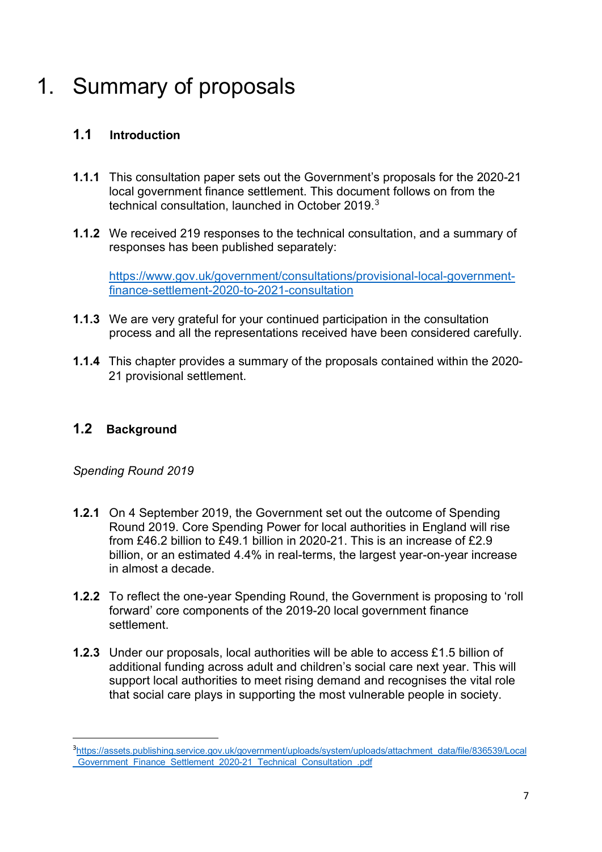## 1. Summary of proposals

## **1.1 Introduction**

- **1.1.1** This consultation paper sets out the Government's proposals for the 2020-21 local government finance settlement. This document follows on from the technical consultation, launched in October 2019. [3](#page-8-0)
- **1.1.2** We received 219 responses to the technical consultation, and a summary of responses has been published separately:

[https://www.gov.uk/government/consultations/provisional-local-government](https://www.gov.uk/government/consultations/provisional-local-government-finance-settlement-2020-to-2021-consultation)[finance-settlement-2020-to-2021-consultation](https://www.gov.uk/government/consultations/provisional-local-government-finance-settlement-2020-to-2021-consultation)

- **1.1.3** We are very grateful for your continued participation in the consultation process and all the representations received have been considered carefully.
- **1.1.4** This chapter provides a summary of the proposals contained within the 2020- 21 provisional settlement.

## **1.2 Background**

*Spending Round 2019*

- **1.2.1** On 4 September 2019, the Government set out the outcome of Spending Round 2019. Core Spending Power for local authorities in England will rise from £46.2 billion to £49.1 billion in 2020-21. This is an increase of £2.9 billion, or an estimated 4.4% in real-terms, the largest year-on-year increase in almost a decade.
- **1.2.2** To reflect the one-year Spending Round, the Government is proposing to 'roll forward' core components of the 2019-20 local government finance settlement.
- **1.2.3** Under our proposals, local authorities will be able to access £1.5 billion of additional funding across adult and children's social care next year. This will support local authorities to meet rising demand and recognises the vital role that social care plays in supporting the most vulnerable people in society.

<span id="page-8-0"></span><sup>3</sup>[https://assets.publishing.service.gov.uk/government/uploads/system/uploads/attachment\\_data/file/836539/Local](https://assets.publishing.service.gov.uk/government/uploads/system/uploads/attachment_data/file/836539/Local_Government_Finance_Settlement_2020-21_Technical_Consultation_.pdf) [\\_Government\\_Finance\\_Settlement\\_2020-21\\_Technical\\_Consultation\\_.pdf](https://assets.publishing.service.gov.uk/government/uploads/system/uploads/attachment_data/file/836539/Local_Government_Finance_Settlement_2020-21_Technical_Consultation_.pdf)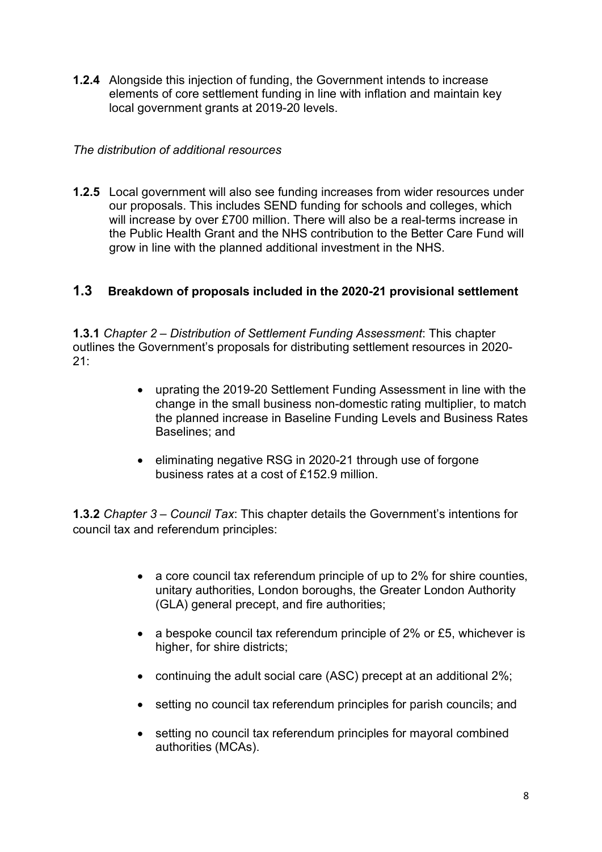**1.2.4** Alongside this injection of funding, the Government intends to increase elements of core settlement funding in line with inflation and maintain key local government grants at 2019-20 levels.

#### *The distribution of additional resources*

**1.2.5** Local government will also see funding increases from wider resources under our proposals. This includes SEND funding for schools and colleges, which will increase by over £700 million. There will also be a real-terms increase in the Public Health Grant and the NHS contribution to the Better Care Fund will grow in line with the planned additional investment in the NHS.

## **1.3 Breakdown of proposals included in the 2020-21 provisional settlement**

**1.3.1** *Chapter 2 – Distribution of Settlement Funding Assessment*: This chapter outlines the Government's proposals for distributing settlement resources in 2020-  $21 -$ 

- uprating the 2019-20 Settlement Funding Assessment in line with the change in the small business non-domestic rating multiplier, to match the planned increase in Baseline Funding Levels and Business Rates Baselines; and
- eliminating negative RSG in 2020-21 through use of forgone business rates at a cost of £152.9 million.

**1.3.2** *Chapter 3 – Council Tax*: This chapter details the Government's intentions for council tax and referendum principles:

- a core council tax referendum principle of up to 2% for shire counties, unitary authorities, London boroughs, the Greater London Authority (GLA) general precept, and fire authorities;
- a bespoke council tax referendum principle of 2% or £5, whichever is higher, for shire districts;
- continuing the adult social care (ASC) precept at an additional 2%;
- setting no council tax referendum principles for parish councils; and
- setting no council tax referendum principles for mayoral combined authorities (MCAs).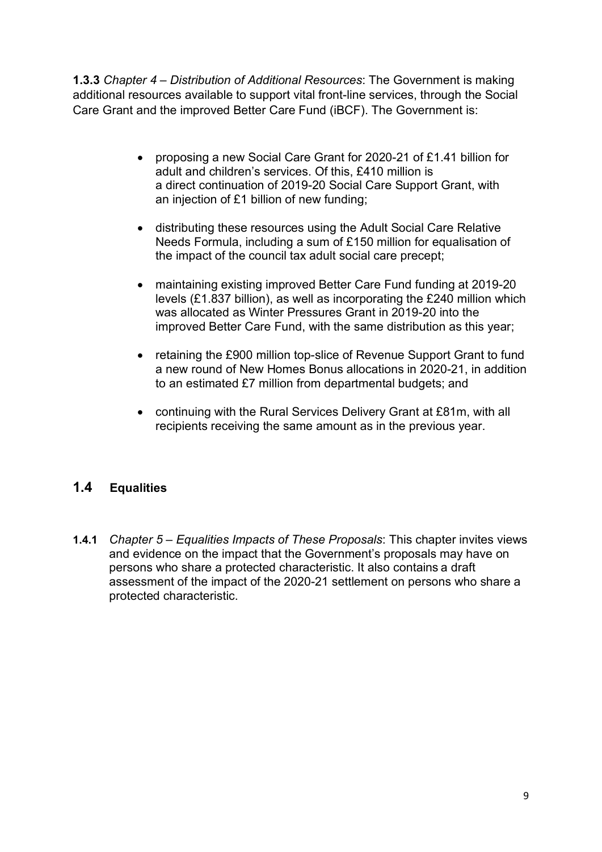**1.3.3** *Chapter 4 – Distribution of Additional Resources*: The Government is making additional resources available to support vital front-line services, through the Social Care Grant and the improved Better Care Fund (iBCF). The Government is:

- proposing a new Social Care Grant for 2020-21 of £1.41 billion for adult and children's services. Of this, £410 million is a direct continuation of 2019-20 Social Care Support Grant, with an injection of £1 billion of new funding;
- distributing these resources using the Adult Social Care Relative Needs Formula, including a sum of £150 million for equalisation of the impact of the council tax adult social care precept;
- maintaining existing improved Better Care Fund funding at 2019-20 levels (£1.837 billion), as well as incorporating the £240 million which was allocated as Winter Pressures Grant in 2019-20 into the improved Better Care Fund, with the same distribution as this year;
- retaining the £900 million top-slice of Revenue Support Grant to fund a new round of New Homes Bonus allocations in 2020-21, in addition to an estimated £7 million from departmental budgets; and
- continuing with the Rural Services Delivery Grant at £81m, with all recipients receiving the same amount as in the previous year.

## **1.4 Equalities**

**1.4.1** *Chapter 5 – Equalities Impacts of These Proposals*: This chapter invites views and evidence on the impact that the Government's proposals may have on persons who share a protected characteristic. It also contains a draft assessment of the impact of the 2020-21 settlement on persons who share a protected characteristic.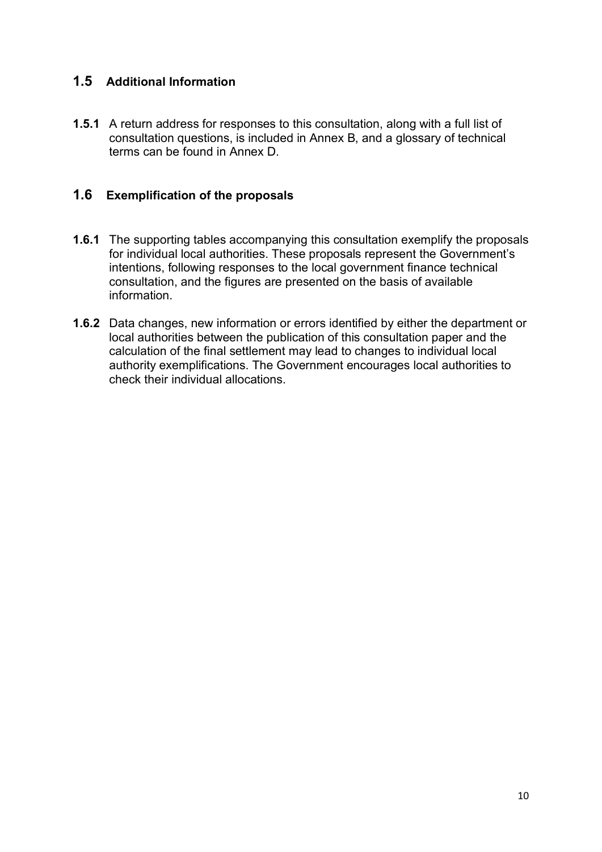## **1.5 Additional Information**

**1.5.1** A return address for responses to this consultation, along with a full list of consultation questions, is included in Annex B, and a glossary of technical terms can be found in Annex D.

## **1.6 Exemplification of the proposals**

- **1.6.1** The supporting tables accompanying this consultation exemplify the proposals for individual local authorities. These proposals represent the Government's intentions, following responses to the local government finance technical consultation, and the figures are presented on the basis of available information.
- **1.6.2** Data changes, new information or errors identified by either the department or local authorities between the publication of this consultation paper and the calculation of the final settlement may lead to changes to individual local authority exemplifications. The Government encourages local authorities to check their individual allocations.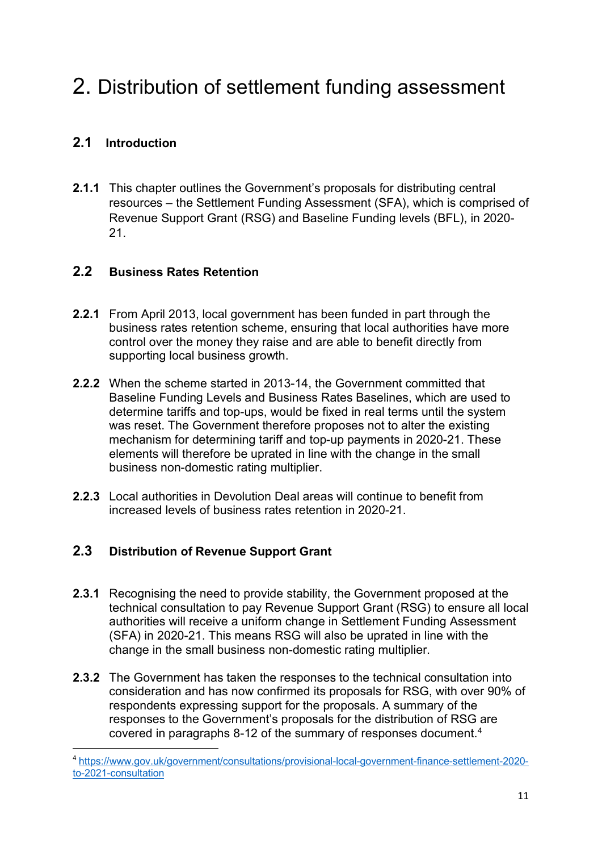## 2. Distribution of settlement funding assessment

## **2.1 Introduction**

**2.1.1** This chapter outlines the Government's proposals for distributing central resources – the Settlement Funding Assessment (SFA), which is comprised of Revenue Support Grant (RSG) and Baseline Funding levels (BFL), in 2020- 21.

## **2.2 Business Rates Retention**

- **2.2.1** From April 2013, local government has been funded in part through the business rates retention scheme, ensuring that local authorities have more control over the money they raise and are able to benefit directly from supporting local business growth.
- **2.2.2** When the scheme started in 2013-14, the Government committed that Baseline Funding Levels and Business Rates Baselines, which are used to determine tariffs and top-ups, would be fixed in real terms until the system was reset. The Government therefore proposes not to alter the existing mechanism for determining tariff and top-up payments in 2020-21. These elements will therefore be uprated in line with the change in the small business non-domestic rating multiplier.
- **2.2.3** Local authorities in Devolution Deal areas will continue to benefit from increased levels of business rates retention in 2020-21.

## **2.3 Distribution of Revenue Support Grant**

- **2.3.1** Recognising the need to provide stability, the Government proposed at the technical consultation to pay Revenue Support Grant (RSG) to ensure all local authorities will receive a uniform change in Settlement Funding Assessment (SFA) in 2020-21. This means RSG will also be uprated in line with the change in the small business non-domestic rating multiplier.
- **2.3.2** The Government has taken the responses to the technical consultation into consideration and has now confirmed its proposals for RSG, with over 90% of respondents expressing support for the proposals. A summary of the responses to the Government's proposals for the distribution of RSG are covered in paragraphs 8-12 of the summary of responses document. [4](#page-12-0)

<span id="page-12-0"></span><sup>4</sup> [https://www.gov.uk/government/consultations/provisional-local-government-finance-settlement-2020](https://www.gov.uk/government/consultations/provisional-local-government-finance-settlement-2020-to-2021-consultation) [to-2021-consultation](https://www.gov.uk/government/consultations/provisional-local-government-finance-settlement-2020-to-2021-consultation)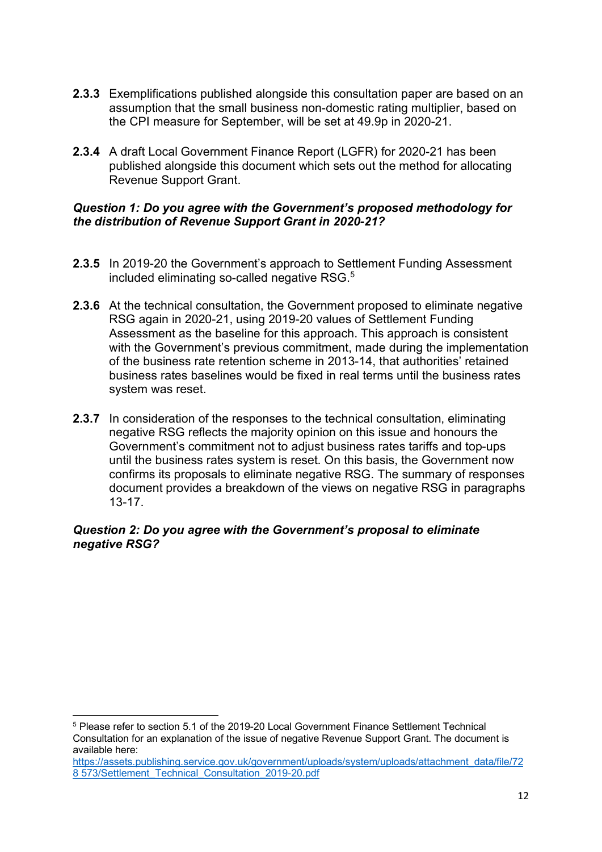- **2.3.3** Exemplifications published alongside this consultation paper are based on an assumption that the small business non-domestic rating multiplier, based on the CPI measure for September, will be set at 49.9p in 2020-21.
- **2.3.4** A draft Local Government Finance Report (LGFR) for 2020-21 has been published alongside this document which sets out the method for allocating Revenue Support Grant.

#### *Question 1: Do you agree with the Government's proposed methodology for the distribution of Revenue Support Grant in 2020-21?*

- **2.3.5** In 2019-20 the Government's approach to Settlement Funding Assessment included eliminating so-called negative RSG. [5](#page-13-0)
- **2.3.6** At the technical consultation, the Government proposed to eliminate negative RSG again in 2020-21, using 2019-20 values of Settlement Funding Assessment as the baseline for this approach. This approach is consistent with the Government's previous commitment, made during the implementation of the business rate retention scheme in 2013-14, that authorities' retained business rates baselines would be fixed in real terms until the business rates system was reset.
- **2.3.7** In consideration of the responses to the technical consultation, eliminating negative RSG reflects the majority opinion on this issue and honours the Government's commitment not to adjust business rates tariffs and top-ups until the business rates system is reset. On this basis, the Government now confirms its proposals to eliminate negative RSG. The summary of responses document provides a breakdown of the views on negative RSG in paragraphs 13-17.

#### *Question 2: Do you agree with the Government's proposal to eliminate negative RSG?*

<span id="page-13-0"></span><sup>5</sup> Please refer to section 5.1 of the 2019-20 Local Government Finance Settlement Technical Consultation for an explanation of the issue of negative Revenue Support Grant. The document is available here:

[https://assets.publishing.service.gov.uk/government/uploads/system/uploads/attachment\\_data/file/72](https://assets.publishing.service.gov.uk/government/uploads/system/uploads/attachment_data/file/728%20573/Settlement_Technical_Consultation_2019-20.pdf) [8 573/Settlement\\_Technical\\_Consultation\\_2019-20.pdf](https://assets.publishing.service.gov.uk/government/uploads/system/uploads/attachment_data/file/728%20573/Settlement_Technical_Consultation_2019-20.pdf)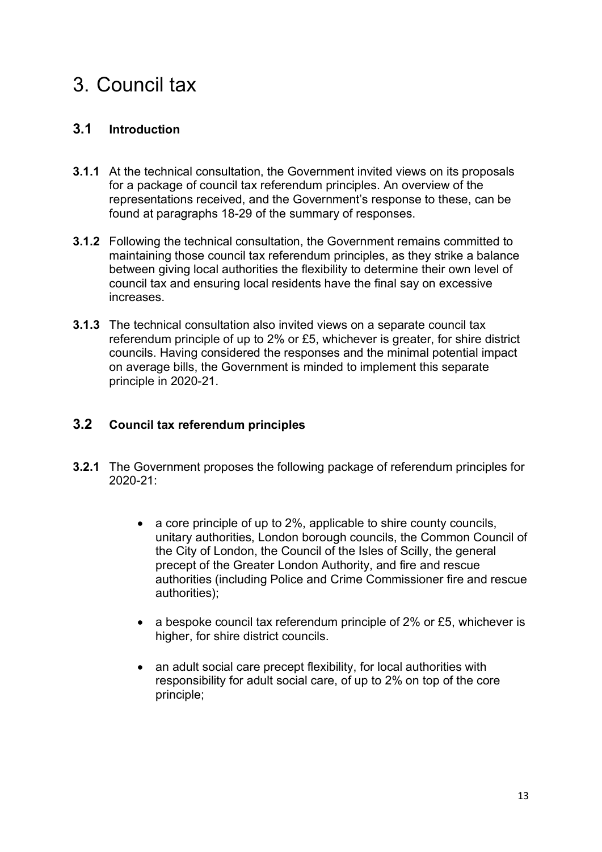## 3. Council tax

## **3.1 Introduction**

- **3.1.1** At the technical consultation, the Government invited views on its proposals for a package of council tax referendum principles. An overview of the representations received, and the Government's response to these, can be found at paragraphs 18-29 of the summary of responses.
- **3.1.2** Following the technical consultation, the Government remains committed to maintaining those council tax referendum principles, as they strike a balance between giving local authorities the flexibility to determine their own level of council tax and ensuring local residents have the final say on excessive increases.
- **3.1.3** The technical consultation also invited views on a separate council tax referendum principle of up to 2% or £5, whichever is greater, for shire district councils. Having considered the responses and the minimal potential impact on average bills, the Government is minded to implement this separate principle in 2020-21.

## **3.2 Council tax referendum principles**

- **3.2.1** The Government proposes the following package of referendum principles for  $2020 - 21$ 
	- a core principle of up to 2%, applicable to shire county councils, unitary authorities, London borough councils, the Common Council of the City of London, the Council of the Isles of Scilly, the general precept of the Greater London Authority, and fire and rescue authorities (including Police and Crime Commissioner fire and rescue authorities);
	- a bespoke council tax referendum principle of 2% or £5, whichever is higher, for shire district councils.
	- an adult social care precept flexibility, for local authorities with responsibility for adult social care, of up to 2% on top of the core principle;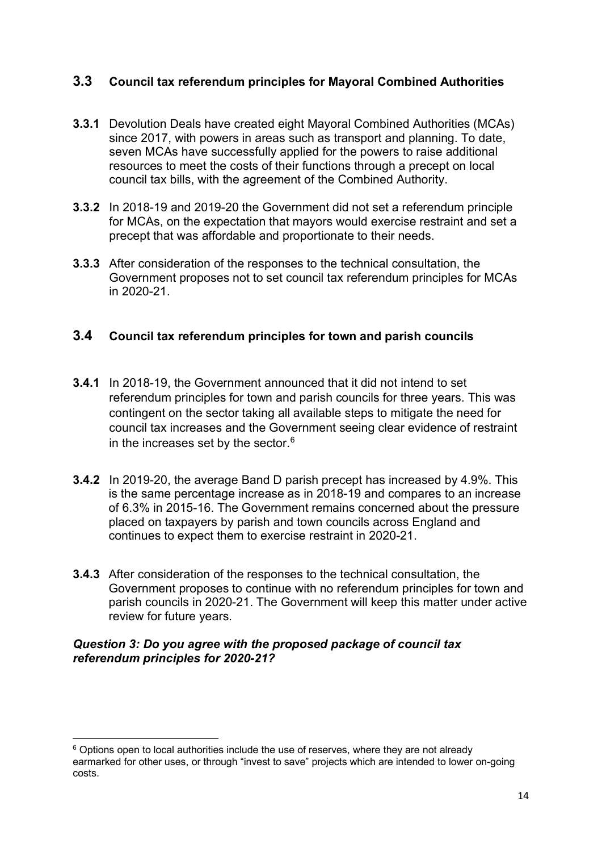## **3.3 Council tax referendum principles for Mayoral Combined Authorities**

- **3.3.1** Devolution Deals have created eight Mayoral Combined Authorities (MCAs) since 2017, with powers in areas such as transport and planning. To date, seven MCAs have successfully applied for the powers to raise additional resources to meet the costs of their functions through a precept on local council tax bills, with the agreement of the Combined Authority.
- **3.3.2** In 2018-19 and 2019-20 the Government did not set a referendum principle for MCAs, on the expectation that mayors would exercise restraint and set a precept that was affordable and proportionate to their needs.
- **3.3.3** After consideration of the responses to the technical consultation, the Government proposes not to set council tax referendum principles for MCAs in 2020-21.

#### **3.4 Council tax referendum principles for town and parish councils**

- **3.4.1** In 2018-19, the Government announced that it did not intend to set referendum principles for town and parish councils for three years. This was contingent on the sector taking all available steps to mitigate the need for council tax increases and the Government seeing clear evidence of restraint in the increases set by the sector. $^6$  $^6$
- **3.4.2** In 2019-20, the average Band D parish precept has increased by 4.9%. This is the same percentage increase as in 2018-19 and compares to an increase of 6.3% in 2015-16. The Government remains concerned about the pressure placed on taxpayers by parish and town councils across England and continues to expect them to exercise restraint in 2020-21.
- **3.4.3** After consideration of the responses to the technical consultation, the Government proposes to continue with no referendum principles for town and parish councils in 2020-21. The Government will keep this matter under active review for future years.

#### *Question 3: Do you agree with the proposed package of council tax referendum principles for 2020-21?*

<span id="page-15-0"></span> $6$  Options open to local authorities include the use of reserves, where they are not already earmarked for other uses, or through "invest to save" projects which are intended to lower on-going costs.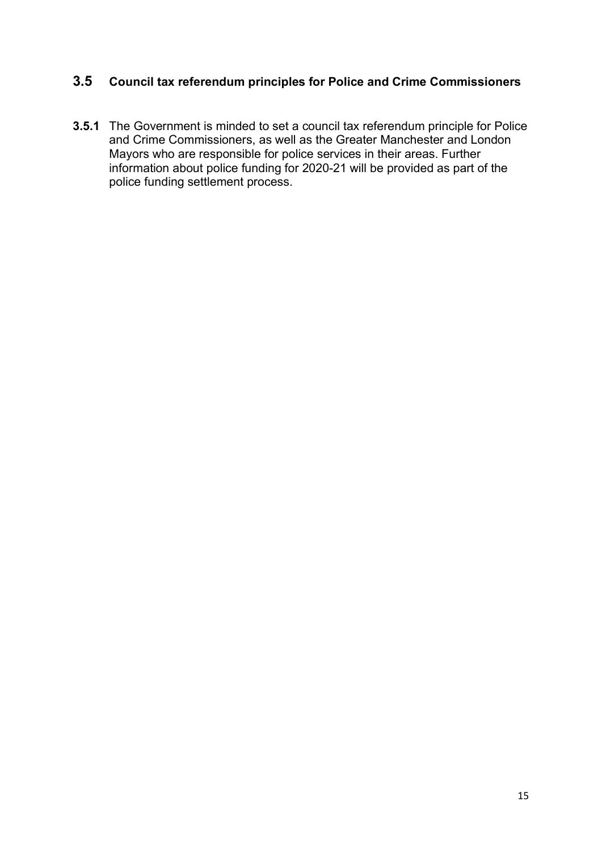## **3.5 Council tax referendum principles for Police and Crime Commissioners**

**3.5.1** The Government is minded to set a council tax referendum principle for Police and Crime Commissioners, as well as the Greater Manchester and London Mayors who are responsible for police services in their areas. Further information about police funding for 2020-21 will be provided as part of the police funding settlement process.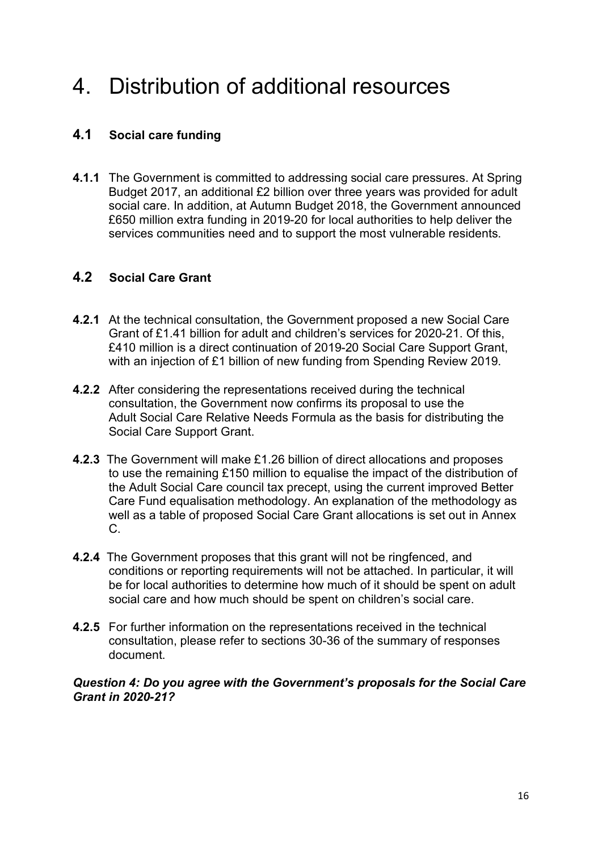## 4. Distribution of additional resources

## **4.1 Social care funding**

**4.1.1** The Government is committed to addressing social care pressures. At Spring Budget 2017, an additional £2 billion over three years was provided for adult social care. In addition, at Autumn Budget 2018, the Government announced £650 million extra funding in 2019-20 for local authorities to help deliver the services communities need and to support the most vulnerable residents.

### **4.2 Social Care Grant**

- **4.2.1** At the technical consultation, the Government proposed a new Social Care Grant of £1.41 billion for adult and children's services for 2020-21. Of this, £410 million is a direct continuation of 2019-20 Social Care Support Grant, with an injection of £1 billion of new funding from Spending Review 2019.
- **4.2.2** After considering the representations received during the technical consultation, the Government now confirms its proposal to use the Adult Social Care Relative Needs Formula as the basis for distributing the Social Care Support Grant.
- **4.2.3** The Government will make £1.26 billion of direct allocations and proposes to use the remaining £150 million to equalise the impact of the distribution of the Adult Social Care council tax precept, using the current improved Better Care Fund equalisation methodology. An explanation of the methodology as well as a table of proposed Social Care Grant allocations is set out in Annex C.
- **4.2.4** The Government proposes that this grant will not be ringfenced, and conditions or reporting requirements will not be attached. In particular, it will be for local authorities to determine how much of it should be spent on adult social care and how much should be spent on children's social care.
- **4.2.5** For further information on the representations received in the technical consultation, please refer to sections 30-36 of the summary of responses document.

#### *Question 4: Do you agree with the Government's proposals for the Social Care Grant in 2020-21?*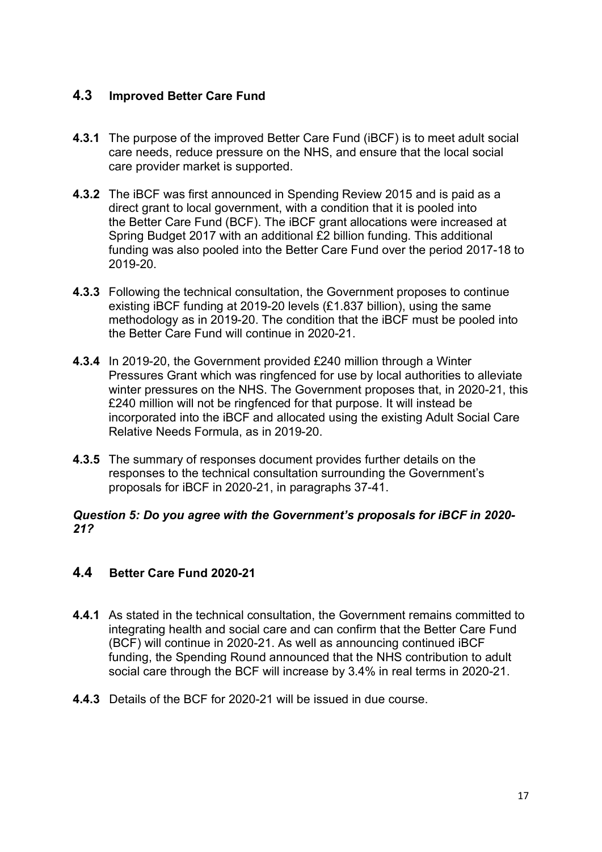## **4.3 Improved Better Care Fund**

- **4.3.1** The purpose of the improved Better Care Fund (iBCF) is to meet adult social care needs, reduce pressure on the NHS, and ensure that the local social care provider market is supported.
- **4.3.2** The iBCF was first announced in Spending Review 2015 and is paid as a direct grant to local government, with a condition that it is pooled into the Better Care Fund (BCF). The iBCF grant allocations were increased at Spring Budget 2017 with an additional £2 billion funding. This additional funding was also pooled into the Better Care Fund over the period 2017-18 to 2019-20.
- **4.3.3** Following the technical consultation, the Government proposes to continue existing iBCF funding at 2019-20 levels (£1.837 billion), using the same methodology as in 2019-20. The condition that the iBCF must be pooled into the Better Care Fund will continue in 2020-21.
- **4.3.4** In 2019-20, the Government provided £240 million through a Winter Pressures Grant which was ringfenced for use by local authorities to alleviate winter pressures on the NHS. The Government proposes that, in 2020-21, this £240 million will not be ringfenced for that purpose. It will instead be incorporated into the iBCF and allocated using the existing Adult Social Care Relative Needs Formula, as in 2019-20.
- **4.3.5** The summary of responses document provides further details on the responses to the technical consultation surrounding the Government's proposals for iBCF in 2020-21, in paragraphs 37-41.

#### *Question 5: Do you agree with the Government's proposals for iBCF in 2020- 21?*

### **4.4 Better Care Fund 2020-21**

- **4.4.1** As stated in the technical consultation, the Government remains committed to integrating health and social care and can confirm that the Better Care Fund (BCF) will continue in 2020-21. As well as announcing continued iBCF funding, the Spending Round announced that the NHS contribution to adult social care through the BCF will increase by 3.4% in real terms in 2020-21.
- **4.4.3** Details of the BCF for 2020-21 will be issued in due course.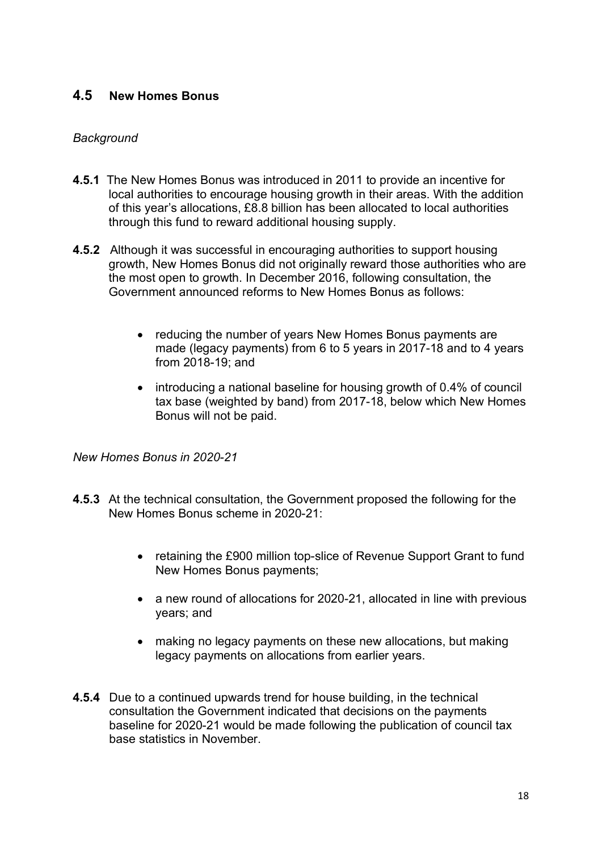### **4.5 New Homes Bonus**

#### *Background*

- **4.5.1** The New Homes Bonus was introduced in 2011 to provide an incentive for local authorities to encourage housing growth in their areas. With the addition of this year's allocations, £8.8 billion has been allocated to local authorities through this fund to reward additional housing supply.
- **4.5.2** Although it was successful in encouraging authorities to support housing growth, New Homes Bonus did not originally reward those authorities who are the most open to growth. In December 2016, following consultation, the Government announced reforms to New Homes Bonus as follows:
	- reducing the number of years New Homes Bonus payments are made (legacy payments) from 6 to 5 years in 2017-18 and to 4 years from 2018-19; and
	- introducing a national baseline for housing growth of 0.4% of council tax base (weighted by band) from 2017-18, below which New Homes Bonus will not be paid.

*New Homes Bonus in 2020-21*

- **4.5.3** At the technical consultation, the Government proposed the following for the New Homes Bonus scheme in 2020-21:
	- retaining the £900 million top-slice of Revenue Support Grant to fund New Homes Bonus payments;
	- a new round of allocations for 2020-21, allocated in line with previous years; and
	- making no legacy payments on these new allocations, but making legacy payments on allocations from earlier years.
- **4.5.4** Due to a continued upwards trend for house building, in the technical consultation the Government indicated that decisions on the payments baseline for 2020-21 would be made following the publication of council tax base statistics in November.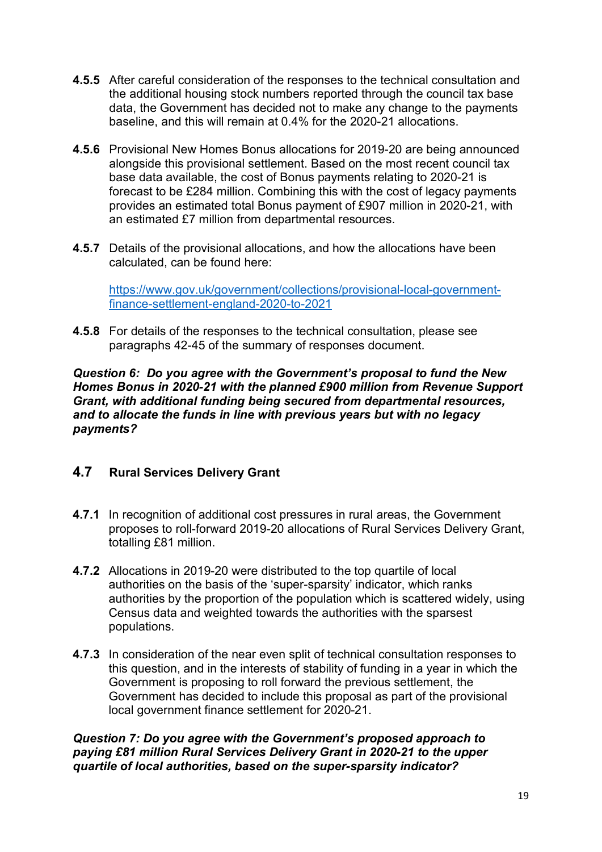- **4.5.5** After careful consideration of the responses to the technical consultation and the additional housing stock numbers reported through the council tax base data, the Government has decided not to make any change to the payments baseline, and this will remain at 0.4% for the 2020-21 allocations.
- **4.5.6** Provisional New Homes Bonus allocations for 2019-20 are being announced alongside this provisional settlement. Based on the most recent council tax base data available, the cost of Bonus payments relating to 2020-21 is forecast to be £284 million. Combining this with the cost of legacy payments provides an estimated total Bonus payment of £907 million in 2020-21, with an estimated £7 million from departmental resources.
- **4.5.7** Details of the provisional allocations, and how the allocations have been calculated, can be found here:

[https://www.gov.uk/government/collections/provisional-local-government](https://www.gov.uk/government/collections/provisional-local-government-finance-settlement-england-2020-to-2021)[finance-settlement-england-2020-to-2021](https://www.gov.uk/government/collections/provisional-local-government-finance-settlement-england-2020-to-2021)

**4.5.8** For details of the responses to the technical consultation, please see paragraphs 42-45 of the summary of responses document.

*Question 6: Do you agree with the Government's proposal to fund the New Homes Bonus in 2020-21 with the planned £900 million from Revenue Support Grant, with additional funding being secured from departmental resources, and to allocate the funds in line with previous years but with no legacy payments?*

## **4.7 Rural Services Delivery Grant**

- **4.7.1** In recognition of additional cost pressures in rural areas, the Government proposes to roll-forward 2019-20 allocations of Rural Services Delivery Grant, totalling £81 million.
- **4.7.2** Allocations in 2019-20 were distributed to the top quartile of local authorities on the basis of the 'super-sparsity' indicator, which ranks authorities by the proportion of the population which is scattered widely, using Census data and weighted towards the authorities with the sparsest populations.
- **4.7.3** In consideration of the near even split of technical consultation responses to this question, and in the interests of stability of funding in a year in which the Government is proposing to roll forward the previous settlement, the Government has decided to include this proposal as part of the provisional local government finance settlement for 2020-21.

#### *Question 7: Do you agree with the Government's proposed approach to paying £81 million Rural Services Delivery Grant in 2020-21 to the upper quartile of local authorities, based on the super-sparsity indicator?*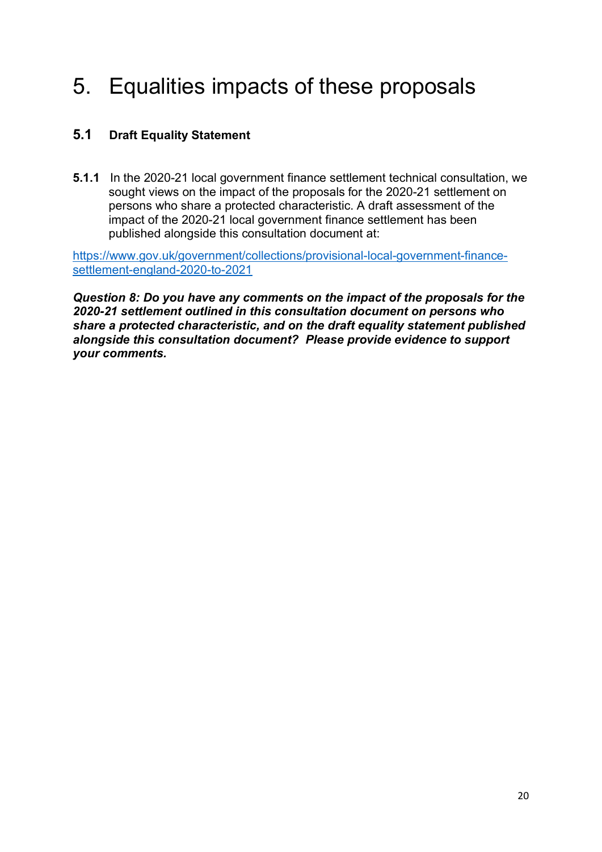## 5. Equalities impacts of these proposals

## **5.1 Draft Equality Statement**

**5.1.1** In the 2020-21 local government finance settlement technical consultation, we sought views on the impact of the proposals for the 2020-21 settlement on persons who share a protected characteristic. A draft assessment of the impact of the 2020-21 local government finance settlement has been published alongside this consultation document at:

[https://www.gov.uk/government/collections/provisional-local-government-finance](https://www.gov.uk/government/collections/provisional-local-government-finance-settlement-england-2020-to-2021)[settlement-england-2020-to-2021](https://www.gov.uk/government/collections/provisional-local-government-finance-settlement-england-2020-to-2021)

*Question 8: Do you have any comments on the impact of the proposals for the 2020-21 settlement outlined in this consultation document on persons who share a protected characteristic, and on the draft equality statement published alongside this consultation document? Please provide evidence to support your comments.*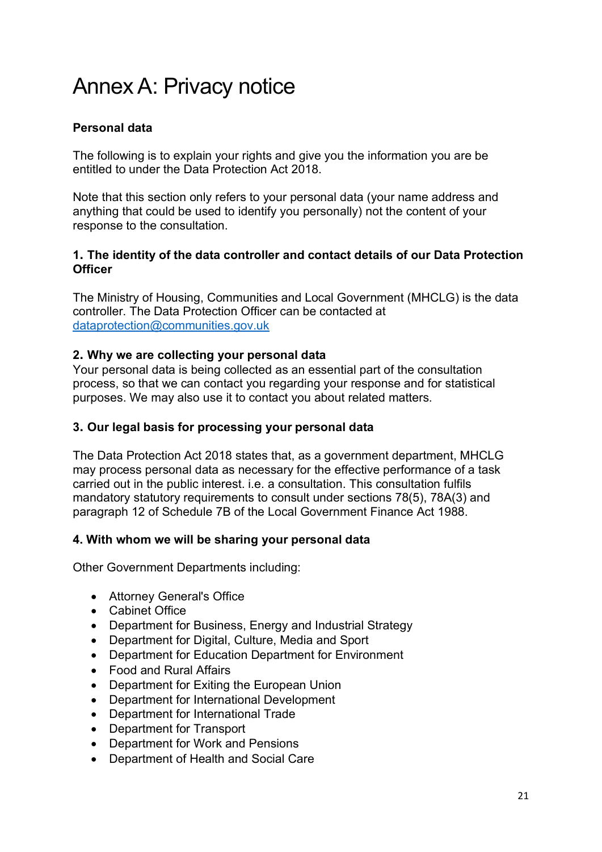## Annex A: Privacy notice

### **Personal data**

The following is to explain your rights and give you the information you are be entitled to under the Data Protection Act 2018.

Note that this section only refers to your personal data (your name address and anything that could be used to identify you personally) not the content of your response to the consultation.

#### **1. The identity of the data controller and contact details of our Data Protection Officer**

The Ministry of Housing, Communities and Local Government (MHCLG) is the data controller. The Data Protection Officer can be contacted at [dataprotection@communities.gov.uk](mailto:dataprotection@communities.gov.uk)

#### **2. Why we are collecting your personal data**

Your personal data is being collected as an essential part of the consultation process, so that we can contact you regarding your response and for statistical purposes. We may also use it to contact you about related matters.

#### **3. Our legal basis for processing your personal data**

The Data Protection Act 2018 states that, as a government department, MHCLG may process personal data as necessary for the effective performance of a task carried out in the public interest. i.e. a consultation. This consultation fulfils mandatory statutory requirements to consult under sections 78(5), 78A(3) and paragraph 12 of Schedule 7B of the Local Government Finance Act 1988.

#### **4. With whom we will be sharing your personal data**

Other Government Departments including:

- Attorney General's Office
- Cabinet Office
- Department for Business, Energy and Industrial Strategy
- Department for Digital, Culture, Media and Sport
- Department for Education Department for Environment
- Food and Rural Affairs
- Department for Exiting the European Union
- Department for International Development
- Department for International Trade
- Department for Transport
- Department for Work and Pensions
- Department of Health and Social Care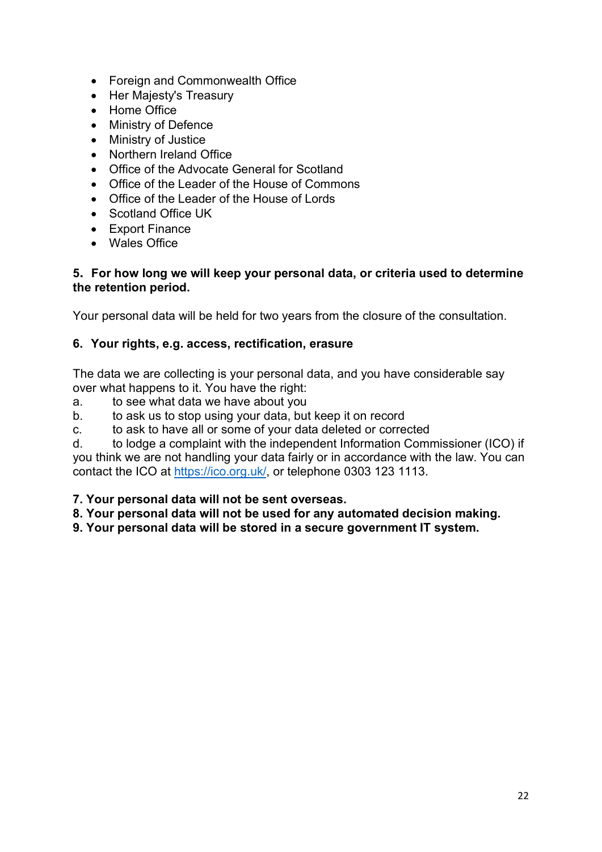- Foreign and Commonwealth Office
- Her Majesty's Treasury
- Home Office
- Ministry of Defence
- Ministry of Justice
- Northern Ireland Office
- Office of the Advocate General for Scotland
- Office of the Leader of the House of Commons
- Office of the Leader of the House of Lords
- Scotland Office UK
- Export Finance
- Wales Office

#### **5. For how long we will keep your personal data, or criteria used to determine the retention period.**

Your personal data will be held for two years from the closure of the consultation.

## **6. Your rights, e.g. access, rectification, erasure**

The data we are collecting is your personal data, and you have considerable say over what happens to it. You have the right:

- a. to see what data we have about you
- b. to ask us to stop using your data, but keep it on record
- c. to ask to have all or some of your data deleted or corrected
- d. to lodge a complaint with the independent Information Commissioner (ICO) if

you think we are not handling your data fairly or in accordance with the law. You can contact the ICO at [https://ico.org.uk/,](https://ico.org.uk/) or telephone 0303 123 1113.

#### **7. Your personal data will not be sent overseas.**

**8. Your personal data will not be used for any automated decision making.** 

**9. Your personal data will be stored in a secure government IT system.**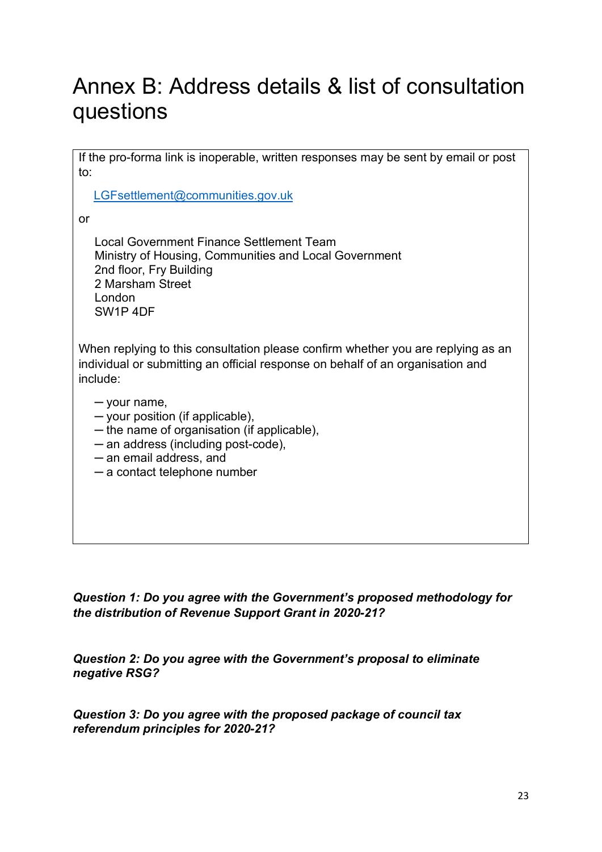## Annex B: Address details & list of consultation questions

If the pro-forma link is inoperable, written responses may be sent by email or post to:

[LGFsettlement@communities.gov.uk](mailto:LGFsettlement@communities.gov.uk)

or

Local Government Finance Settlement Team Ministry of Housing, Communities and Local Government 2nd floor, Fry Building 2 Marsham Street London SW1P 4DF

When replying to this consultation please confirm whether you are replying as an individual or submitting an official response on behalf of an organisation and include:

─ your name,

- ─ your position (if applicable),
- ─ the name of organisation (if applicable),
- ─ an address (including post-code),
- ─ an email address, and
- ─ a contact telephone number

*Question 1: Do you agree with the Government's proposed methodology for the distribution of Revenue Support Grant in 2020-21?*

*Question 2: Do you agree with the Government's proposal to eliminate negative RSG?*

*Question 3: Do you agree with the proposed package of council tax referendum principles for 2020-21?*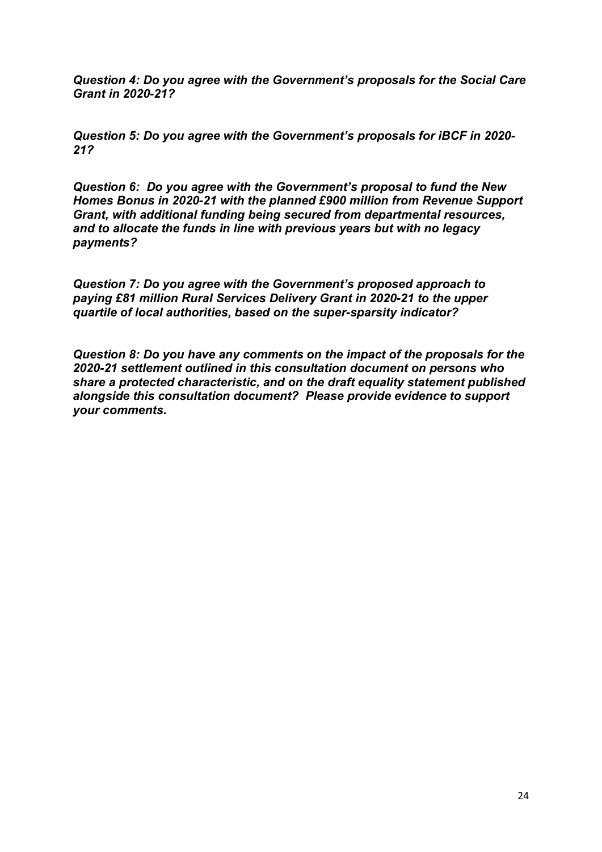*Question 4: Do you agree with the Government's proposals for the Social Care Grant in 2020-21?*

*Question 5: Do you agree with the Government's proposals for iBCF in 2020- 21?*

*Question 6: Do you agree with the Government's proposal to fund the New Homes Bonus in 2020-21 with the planned £900 million from Revenue Support Grant, with additional funding being secured from departmental resources, and to allocate the funds in line with previous years but with no legacy payments?*

*Question 7: Do you agree with the Government's proposed approach to paying £81 million Rural Services Delivery Grant in 2020-21 to the upper quartile of local authorities, based on the super-sparsity indicator?*

*Question 8: Do you have any comments on the impact of the proposals for the 2020-21 settlement outlined in this consultation document on persons who share a protected characteristic, and on the draft equality statement published alongside this consultation document? Please provide evidence to support your comments.*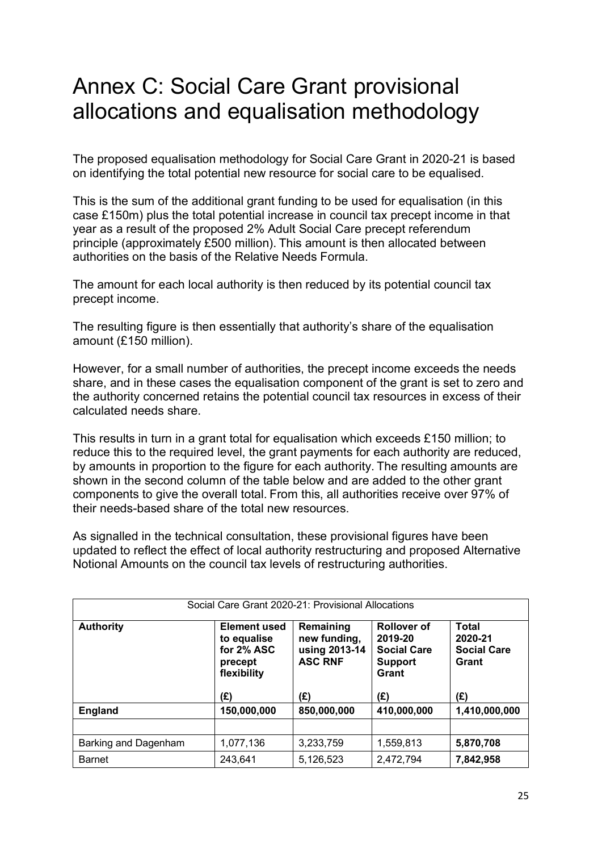## Annex C: Social Care Grant provisional allocations and equalisation methodology

The proposed equalisation methodology for Social Care Grant in 2020-21 is based on identifying the total potential new resource for social care to be equalised. 

This is the sum of the additional grant funding to be used for equalisation (in this case £150m) plus the total potential increase in council tax precept income in that year as a result of the proposed 2% Adult Social Care precept referendum principle (approximately £500 million). This amount is then allocated between authorities on the basis of the Relative Needs Formula. 

The amount for each local authority is then reduced by its potential council tax precept income. 

The resulting figure is then essentially that authority's share of the equalisation amount (£150 million). 

However, for a small number of authorities, the precept income exceeds the needs share, and in these cases the equalisation component of the grant is set to zero and the authority concerned retains the potential council tax resources in excess of their calculated needs share. 

This results in turn in a grant total for equalisation which exceeds £150 million; to reduce this to the required level, the grant payments for each authority are reduced, by amounts in proportion to the figure for each authority. The resulting amounts are shown in the second column of the table below and are added to the other grant components to give the overall total. From this, all authorities receive over 97% of their needs-based share of the total new resources.

As signalled in the technical consultation, these provisional figures have been updated to reflect the effect of local authority restructuring and proposed Alternative Notional Amounts on the council tax levels of restructuring authorities.

| Social Care Grant 2020-21: Provisional Allocations |                                                                                   |                                                                     |                                                                                       |                                                               |  |
|----------------------------------------------------|-----------------------------------------------------------------------------------|---------------------------------------------------------------------|---------------------------------------------------------------------------------------|---------------------------------------------------------------|--|
| <b>Authority</b>                                   | <b>Element used</b><br>to equalise<br>for 2% ASC<br>precept<br>flexibility<br>(£) | Remaining<br>new funding,<br>using 2013-14<br><b>ASC RNF</b><br>(£) | <b>Rollover of</b><br>2019-20<br><b>Social Care</b><br><b>Support</b><br>Grant<br>(£) | <b>Total</b><br>2020-21<br><b>Social Care</b><br>Grant<br>(£) |  |
| <b>England</b>                                     | 150,000,000                                                                       | 850,000,000                                                         | 410,000,000                                                                           | 1,410,000,000                                                 |  |
|                                                    |                                                                                   |                                                                     |                                                                                       |                                                               |  |
| Barking and Dagenham                               | 1,077,136                                                                         | 3,233,759                                                           | 1,559,813                                                                             | 5,870,708                                                     |  |
| <b>Barnet</b>                                      | 243,641                                                                           | 5,126,523                                                           | 2,472,794                                                                             | 7,842,958                                                     |  |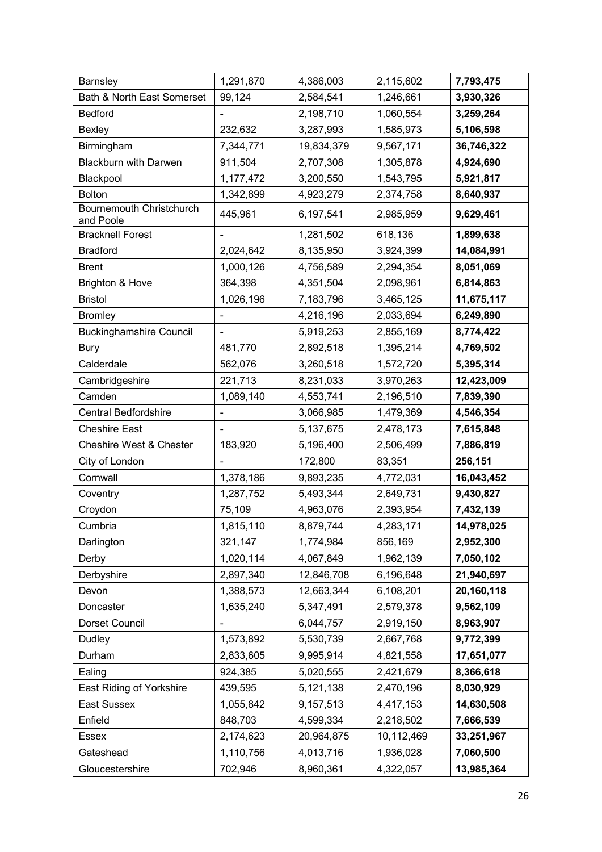| Barnsley                              | 1,291,870 | 4,386,003  | 2,115,602  | 7,793,475  |
|---------------------------------------|-----------|------------|------------|------------|
| Bath & North East Somerset            | 99,124    | 2,584,541  | 1,246,661  | 3,930,326  |
| <b>Bedford</b>                        |           | 2,198,710  | 1,060,554  | 3,259,264  |
| Bexley                                | 232,632   | 3,287,993  | 1,585,973  | 5,106,598  |
| Birmingham                            | 7,344,771 | 19,834,379 | 9,567,171  | 36,746,322 |
| <b>Blackburn with Darwen</b>          | 911,504   | 2,707,308  | 1,305,878  | 4,924,690  |
| Blackpool                             | 1,177,472 | 3,200,550  | 1,543,795  | 5,921,817  |
| <b>Bolton</b>                         | 1,342,899 | 4,923,279  | 2,374,758  | 8,640,937  |
| Bournemouth Christchurch<br>and Poole | 445,961   | 6,197,541  | 2,985,959  | 9,629,461  |
| <b>Bracknell Forest</b>               |           | 1,281,502  | 618,136    | 1,899,638  |
| <b>Bradford</b>                       | 2,024,642 | 8,135,950  | 3,924,399  | 14,084,991 |
| <b>Brent</b>                          | 1,000,126 | 4,756,589  | 2,294,354  | 8,051,069  |
| <b>Brighton &amp; Hove</b>            | 364,398   | 4,351,504  | 2,098,961  | 6,814,863  |
| <b>Bristol</b>                        | 1,026,196 | 7,183,796  | 3,465,125  | 11,675,117 |
| <b>Bromley</b>                        |           | 4,216,196  | 2,033,694  | 6,249,890  |
| <b>Buckinghamshire Council</b>        |           | 5,919,253  | 2,855,169  | 8,774,422  |
| <b>Bury</b>                           | 481,770   | 2,892,518  | 1,395,214  | 4,769,502  |
| Calderdale                            | 562,076   | 3,260,518  | 1,572,720  | 5,395,314  |
| Cambridgeshire                        | 221,713   | 8,231,033  | 3,970,263  | 12,423,009 |
| Camden                                | 1,089,140 | 4,553,741  | 2,196,510  | 7,839,390  |
| <b>Central Bedfordshire</b>           |           | 3,066,985  | 1,479,369  | 4,546,354  |
| <b>Cheshire East</b>                  |           | 5,137,675  | 2,478,173  | 7,615,848  |
| Cheshire West & Chester               | 183,920   | 5,196,400  | 2,506,499  | 7,886,819  |
| City of London                        |           | 172,800    | 83,351     | 256,151    |
| Cornwall                              | 1,378,186 | 9,893,235  | 4,772,031  | 16,043,452 |
| Coventry                              | 1,287,752 | 5,493,344  | 2,649,731  | 9,430,827  |
| Croydon                               | 75,109    | 4,963,076  | 2,393,954  | 7,432,139  |
| Cumbria                               | 1,815,110 | 8,879,744  | 4,283,171  | 14,978,025 |
| Darlington                            | 321,147   | 1,774,984  | 856,169    | 2,952,300  |
| Derby                                 | 1,020,114 | 4,067,849  | 1,962,139  | 7,050,102  |
| Derbyshire                            | 2,897,340 | 12,846,708 | 6,196,648  | 21,940,697 |
| Devon                                 | 1,388,573 | 12,663,344 | 6,108,201  | 20,160,118 |
| Doncaster                             | 1,635,240 | 5,347,491  | 2,579,378  | 9,562,109  |
| Dorset Council                        |           | 6,044,757  | 2,919,150  | 8,963,907  |
| Dudley                                | 1,573,892 | 5,530,739  | 2,667,768  | 9,772,399  |
| Durham                                | 2,833,605 | 9,995,914  | 4,821,558  | 17,651,077 |
| Ealing                                | 924,385   | 5,020,555  | 2,421,679  | 8,366,618  |
| East Riding of Yorkshire              | 439,595   | 5,121,138  | 2,470,196  | 8,030,929  |
| East Sussex                           | 1,055,842 | 9,157,513  | 4,417,153  | 14,630,508 |
| Enfield                               | 848,703   | 4,599,334  | 2,218,502  | 7,666,539  |
| Essex                                 | 2,174,623 | 20,964,875 | 10,112,469 | 33,251,967 |
| Gateshead                             | 1,110,756 | 4,013,716  | 1,936,028  | 7,060,500  |
| Gloucestershire                       | 702,946   | 8,960,361  | 4,322,057  | 13,985,364 |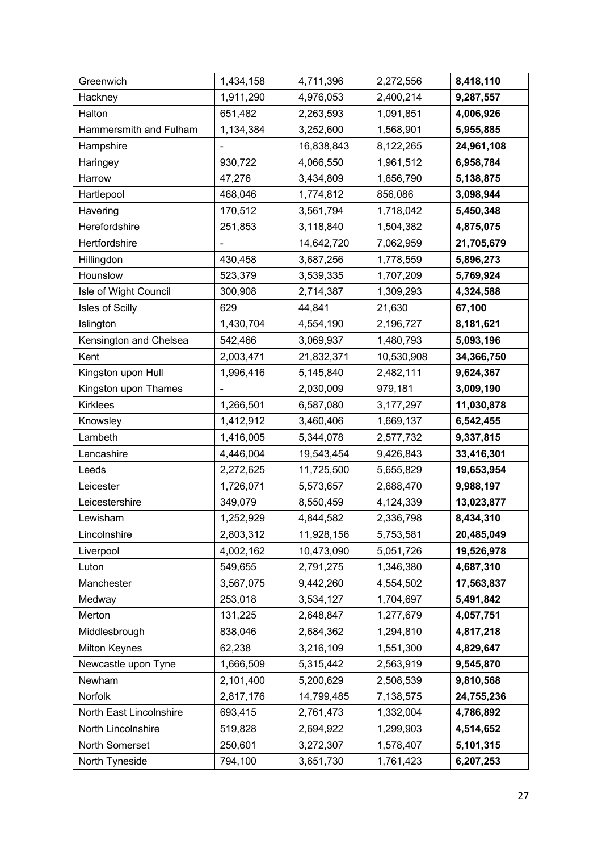| Greenwich               | 1,434,158 | 4,711,396  | 2,272,556   | 8,418,110  |
|-------------------------|-----------|------------|-------------|------------|
| Hackney                 | 1,911,290 | 4,976,053  | 2,400,214   | 9,287,557  |
| Halton                  | 651,482   | 2,263,593  | 1,091,851   | 4,006,926  |
| Hammersmith and Fulham  | 1,134,384 | 3,252,600  | 1,568,901   | 5,955,885  |
| Hampshire               |           | 16,838,843 | 8,122,265   | 24,961,108 |
| Haringey                | 930,722   | 4,066,550  | 1,961,512   | 6,958,784  |
| Harrow                  | 47,276    | 3,434,809  | 1,656,790   | 5,138,875  |
| Hartlepool              | 468,046   | 1,774,812  | 856,086     | 3,098,944  |
| Havering                | 170,512   | 3,561,794  | 1,718,042   | 5,450,348  |
| Herefordshire           | 251,853   | 3,118,840  | 1,504,382   | 4,875,075  |
| Hertfordshire           |           | 14,642,720 | 7,062,959   | 21,705,679 |
| Hillingdon              | 430,458   | 3,687,256  | 1,778,559   | 5,896,273  |
| Hounslow                | 523,379   | 3,539,335  | 1,707,209   | 5,769,924  |
| Isle of Wight Council   | 300,908   | 2,714,387  | 1,309,293   | 4,324,588  |
| Isles of Scilly         | 629       | 44,841     | 21,630      | 67,100     |
| Islington               | 1,430,704 | 4,554,190  | 2,196,727   | 8,181,621  |
| Kensington and Chelsea  | 542,466   | 3,069,937  | 1,480,793   | 5,093,196  |
| Kent                    | 2,003,471 | 21,832,371 | 10,530,908  | 34,366,750 |
| Kingston upon Hull      | 1,996,416 | 5,145,840  | 2,482,111   | 9,624,367  |
| Kingston upon Thames    |           | 2,030,009  | 979,181     | 3,009,190  |
| <b>Kirklees</b>         | 1,266,501 | 6,587,080  | 3, 177, 297 | 11,030,878 |
| Knowsley                | 1,412,912 | 3,460,406  | 1,669,137   | 6,542,455  |
| Lambeth                 | 1,416,005 | 5,344,078  | 2,577,732   | 9,337,815  |
| Lancashire              | 4,446,004 | 19,543,454 | 9,426,843   | 33,416,301 |
| Leeds                   | 2,272,625 | 11,725,500 | 5,655,829   | 19,653,954 |
| Leicester               | 1,726,071 | 5,573,657  | 2,688,470   | 9,988,197  |
| Leicestershire          | 349,079   | 8,550,459  | 4,124,339   | 13,023,877 |
| Lewisham                | 1,252,929 | 4,844,582  | 2,336,798   | 8,434,310  |
| Lincolnshire            | 2,803,312 | 11,928,156 | 5,753,581   | 20,485,049 |
| Liverpool               | 4,002,162 | 10,473,090 | 5,051,726   | 19,526,978 |
| Luton                   | 549,655   | 2,791,275  | 1,346,380   | 4,687,310  |
| Manchester              | 3,567,075 | 9,442,260  | 4,554,502   | 17,563,837 |
| Medway                  | 253,018   | 3,534,127  | 1,704,697   | 5,491,842  |
| Merton                  | 131,225   | 2,648,847  | 1,277,679   | 4,057,751  |
| Middlesbrough           | 838,046   | 2,684,362  | 1,294,810   | 4,817,218  |
| <b>Milton Keynes</b>    | 62,238    | 3,216,109  | 1,551,300   | 4,829,647  |
| Newcastle upon Tyne     | 1,666,509 | 5,315,442  | 2,563,919   | 9,545,870  |
| Newham                  | 2,101,400 | 5,200,629  | 2,508,539   | 9,810,568  |
| Norfolk                 | 2,817,176 | 14,799,485 | 7,138,575   | 24,755,236 |
| North East Lincolnshire | 693,415   | 2,761,473  | 1,332,004   | 4,786,892  |
| North Lincolnshire      | 519,828   | 2,694,922  | 1,299,903   | 4,514,652  |
| North Somerset          | 250,601   | 3,272,307  | 1,578,407   | 5,101,315  |
| North Tyneside          | 794,100   | 3,651,730  | 1,761,423   | 6,207,253  |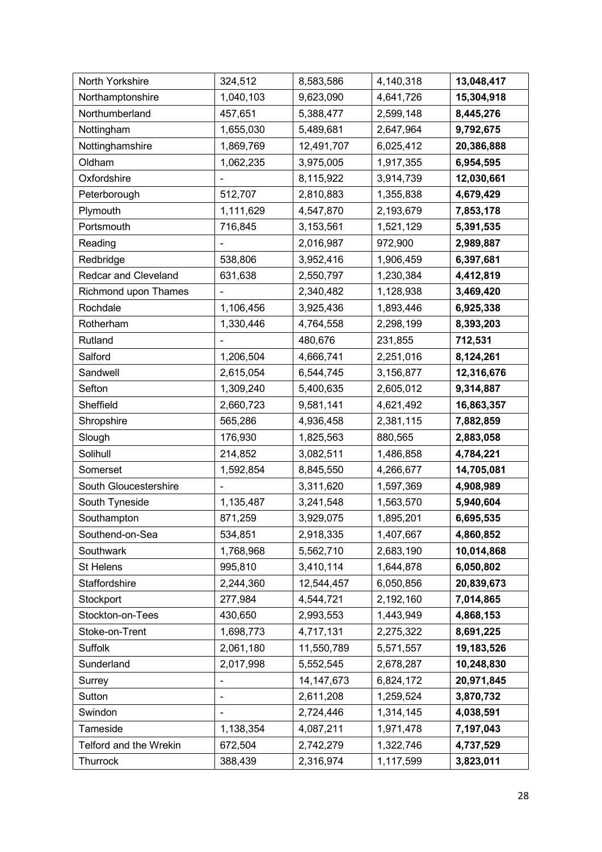| North Yorkshire             | 324,512                  | 8,583,586    | 4,140,318 | 13,048,417 |
|-----------------------------|--------------------------|--------------|-----------|------------|
| Northamptonshire            | 1,040,103                | 9,623,090    | 4,641,726 | 15,304,918 |
| Northumberland              | 457,651                  | 5,388,477    | 2,599,148 | 8,445,276  |
| Nottingham                  | 1,655,030                | 5,489,681    | 2,647,964 | 9,792,675  |
| Nottinghamshire             | 1,869,769                | 12,491,707   | 6,025,412 | 20,386,888 |
| Oldham                      | 1,062,235                | 3,975,005    | 1,917,355 | 6,954,595  |
| Oxfordshire                 |                          | 8,115,922    | 3,914,739 | 12,030,661 |
| Peterborough                | 512,707                  | 2,810,883    | 1,355,838 | 4,679,429  |
| Plymouth                    | 1,111,629                | 4,547,870    | 2,193,679 | 7,853,178  |
| Portsmouth                  | 716,845                  | 3,153,561    | 1,521,129 | 5,391,535  |
| Reading                     |                          | 2,016,987    | 972,900   | 2,989,887  |
| Redbridge                   | 538,806                  | 3,952,416    | 1,906,459 | 6,397,681  |
| <b>Redcar and Cleveland</b> | 631,638                  | 2,550,797    | 1,230,384 | 4,412,819  |
| Richmond upon Thames        |                          | 2,340,482    | 1,128,938 | 3,469,420  |
| Rochdale                    | 1,106,456                | 3,925,436    | 1,893,446 | 6,925,338  |
| Rotherham                   | 1,330,446                | 4,764,558    | 2,298,199 | 8,393,203  |
| Rutland                     |                          | 480,676      | 231,855   | 712,531    |
| Salford                     | 1,206,504                | 4,666,741    | 2,251,016 | 8,124,261  |
| Sandwell                    | 2,615,054                | 6,544,745    | 3,156,877 | 12,316,676 |
| Sefton                      | 1,309,240                | 5,400,635    | 2,605,012 | 9,314,887  |
| Sheffield                   | 2,660,723                | 9,581,141    | 4,621,492 | 16,863,357 |
| Shropshire                  | 565,286                  | 4,936,458    | 2,381,115 | 7,882,859  |
| Slough                      | 176,930                  | 1,825,563    | 880,565   | 2,883,058  |
| Solihull                    | 214,852                  | 3,082,511    | 1,486,858 | 4,784,221  |
| Somerset                    | 1,592,854                | 8,845,550    | 4,266,677 | 14,705,081 |
| South Gloucestershire       |                          | 3,311,620    | 1,597,369 | 4,908,989  |
| South Tyneside              | 1,135,487                | 3,241,548    | 1,563,570 | 5,940,604  |
| Southampton                 | 871,259                  | 3,929,075    | 1,895,201 | 6,695,535  |
| Southend-on-Sea             | 534,851                  | 2,918,335    | 1,407,667 | 4,860,852  |
| Southwark                   | 1,768,968                | 5,562,710    | 2,683,190 | 10,014,868 |
| St Helens                   | 995,810                  | 3,410,114    | 1,644,878 | 6,050,802  |
| Staffordshire               | 2,244,360                | 12,544,457   | 6,050,856 | 20,839,673 |
| Stockport                   | 277,984                  | 4,544,721    | 2,192,160 | 7,014,865  |
| Stockton-on-Tees            | 430,650                  | 2,993,553    | 1,443,949 | 4,868,153  |
| Stoke-on-Trent              | 1,698,773                | 4,717,131    | 2,275,322 | 8,691,225  |
| Suffolk                     | 2,061,180                | 11,550,789   | 5,571,557 | 19,183,526 |
| Sunderland                  | 2,017,998                | 5,552,545    | 2,678,287 | 10,248,830 |
| Surrey                      | $\overline{\phantom{0}}$ | 14, 147, 673 | 6,824,172 | 20,971,845 |
| Sutton                      |                          | 2,611,208    | 1,259,524 | 3,870,732  |
| Swindon                     | $\overline{\phantom{0}}$ | 2,724,446    | 1,314,145 | 4,038,591  |
| Tameside                    | 1,138,354                | 4,087,211    | 1,971,478 | 7,197,043  |
| Telford and the Wrekin      | 672,504                  | 2,742,279    | 1,322,746 | 4,737,529  |
| Thurrock                    | 388,439                  | 2,316,974    | 1,117,599 | 3,823,011  |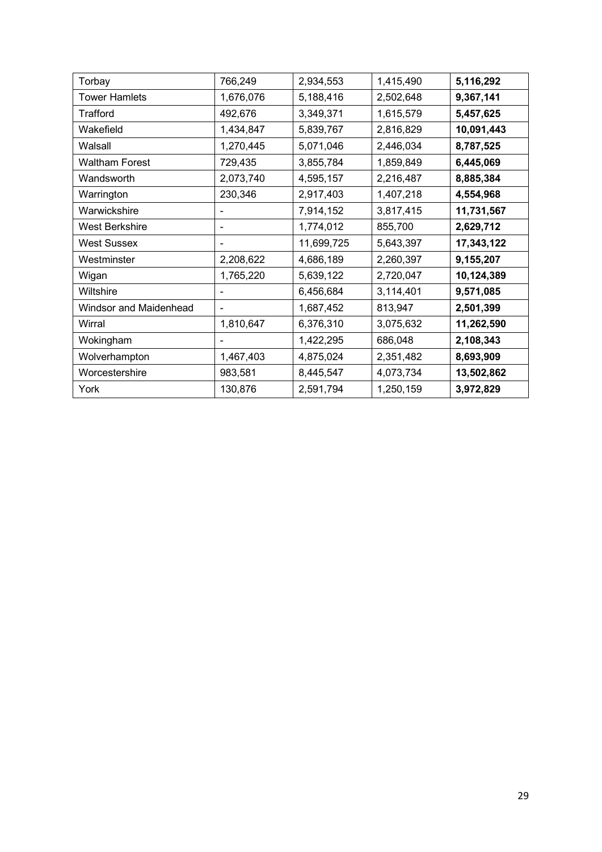| Torbay                 | 766,249        | 2,934,553  | 1,415,490 | 5,116,292  |
|------------------------|----------------|------------|-----------|------------|
| <b>Tower Hamlets</b>   | 1,676,076      | 5,188,416  | 2,502,648 | 9,367,141  |
| Trafford               | 492,676        | 3,349,371  | 1,615,579 | 5,457,625  |
| Wakefield              | 1,434,847      | 5,839,767  | 2,816,829 | 10,091,443 |
| Walsall                | 1,270,445      | 5,071,046  | 2,446,034 | 8,787,525  |
| <b>Waltham Forest</b>  | 729,435        | 3,855,784  | 1,859,849 | 6,445,069  |
| Wandsworth             | 2,073,740      | 4,595,157  | 2,216,487 | 8,885,384  |
| Warrington             | 230,346        | 2,917,403  | 1,407,218 | 4,554,968  |
| Warwickshire           | -              | 7,914,152  | 3,817,415 | 11,731,567 |
| <b>West Berkshire</b>  |                | 1,774,012  | 855,700   | 2,629,712  |
| West Sussex            |                | 11,699,725 | 5,643,397 | 17,343,122 |
| Westminster            | 2,208,622      | 4,686,189  | 2,260,397 | 9,155,207  |
| Wigan                  | 1,765,220      | 5,639,122  | 2,720,047 | 10,124,389 |
| Wiltshire              |                | 6,456,684  | 3,114,401 | 9,571,085  |
| Windsor and Maidenhead | $\blacksquare$ | 1,687,452  | 813,947   | 2,501,399  |
| Wirral                 | 1,810,647      | 6,376,310  | 3,075,632 | 11,262,590 |
| Wokingham              |                | 1,422,295  | 686,048   | 2,108,343  |
| Wolverhampton          | 1,467,403      | 4,875,024  | 2,351,482 | 8,693,909  |
| Worcestershire         | 983,581        | 8,445,547  | 4,073,734 | 13,502,862 |
| York                   | 130,876        | 2,591,794  | 1,250,159 | 3,972,829  |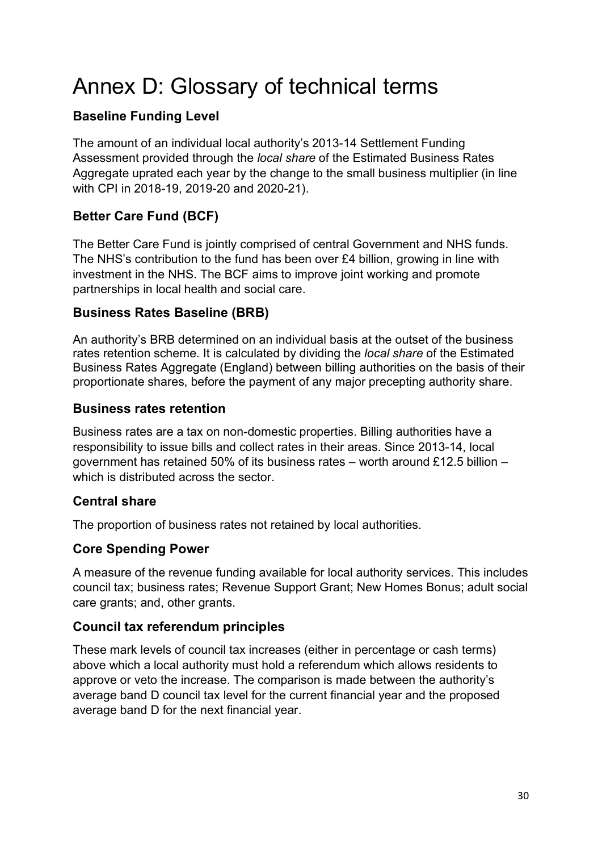## Annex D: Glossary of technical terms

## **Baseline Funding Level**

The amount of an individual local authority's 2013-14 Settlement Funding Assessment provided through the *local share* of the Estimated Business Rates Aggregate uprated each year by the change to the small business multiplier (in line with CPI in 2018-19, 2019-20 and 2020-21).

## **Better Care Fund (BCF)**

The Better Care Fund is jointly comprised of central Government and NHS funds. The NHS's contribution to the fund has been over £4 billion, growing in line with investment in the NHS. The BCF aims to improve joint working and promote partnerships in local health and social care.

## **Business Rates Baseline (BRB)**

An authority's BRB determined on an individual basis at the outset of the business rates retention scheme. It is calculated by dividing the *local share* of the Estimated Business Rates Aggregate (England) between billing authorities on the basis of their proportionate shares, before the payment of any major precepting authority share.

## **Business rates retention**

Business rates are a tax on non-domestic properties. Billing authorities have a responsibility to issue bills and collect rates in their areas. Since 2013-14, local government has retained 50% of its business rates – worth around £12.5 billion – which is distributed across the sector.

## **Central share**

The proportion of business rates not retained by local authorities.

## **Core Spending Power**

A measure of the revenue funding available for local authority services. This includes council tax; business rates; Revenue Support Grant; New Homes Bonus; adult social care grants; and, other grants.

## **Council tax referendum principles**

These mark levels of council tax increases (either in percentage or cash terms) above which a local authority must hold a referendum which allows residents to approve or veto the increase. The comparison is made between the authority's average band D council tax level for the current financial year and the proposed average band D for the next financial year.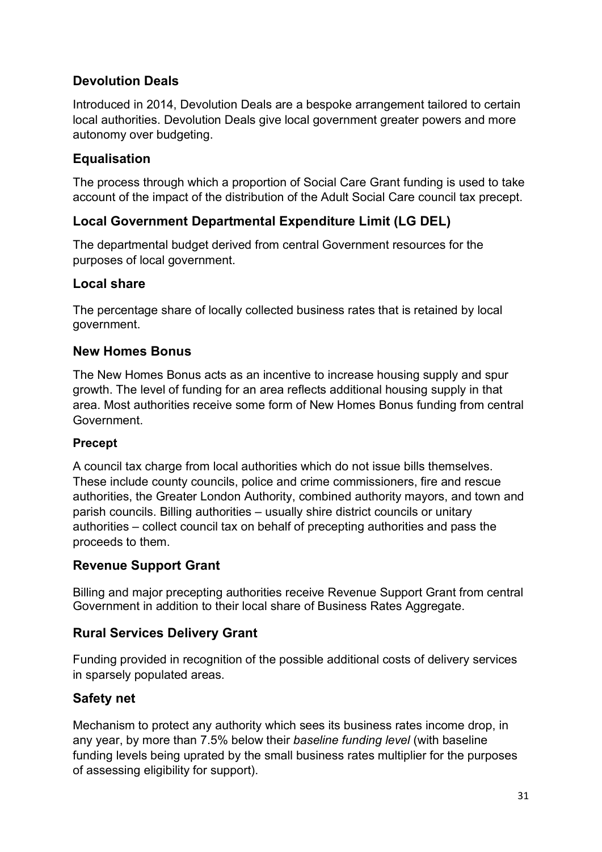## **Devolution Deals**

Introduced in 2014, Devolution Deals are a bespoke arrangement tailored to certain local authorities. Devolution Deals give local government greater powers and more autonomy over budgeting.

## **Equalisation**

The process through which a proportion of Social Care Grant funding is used to take account of the impact of the distribution of the Adult Social Care council tax precept.

## **Local Government Departmental Expenditure Limit (LG DEL)**

The departmental budget derived from central Government resources for the purposes of local government.

## **Local share**

The percentage share of locally collected business rates that is retained by local government.

## **New Homes Bonus**

The New Homes Bonus acts as an incentive to increase housing supply and spur growth. The level of funding for an area reflects additional housing supply in that area. Most authorities receive some form of New Homes Bonus funding from central Government.

#### **Precept**

A council tax charge from local authorities which do not issue bills themselves. These include county councils, police and crime commissioners, fire and rescue authorities, the Greater London Authority, combined authority mayors, and town and parish councils. Billing authorities – usually shire district councils or unitary authorities – collect council tax on behalf of precepting authorities and pass the proceeds to them.

## **Revenue Support Grant**

Billing and major precepting authorities receive Revenue Support Grant from central Government in addition to their local share of Business Rates Aggregate.

## **Rural Services Delivery Grant**

Funding provided in recognition of the possible additional costs of delivery services in sparsely populated areas.

#### **Safety net**

Mechanism to protect any authority which sees its business rates income drop, in any year, by more than 7.5% below their *baseline funding level* (with baseline funding levels being uprated by the small business rates multiplier for the purposes of assessing eligibility for support).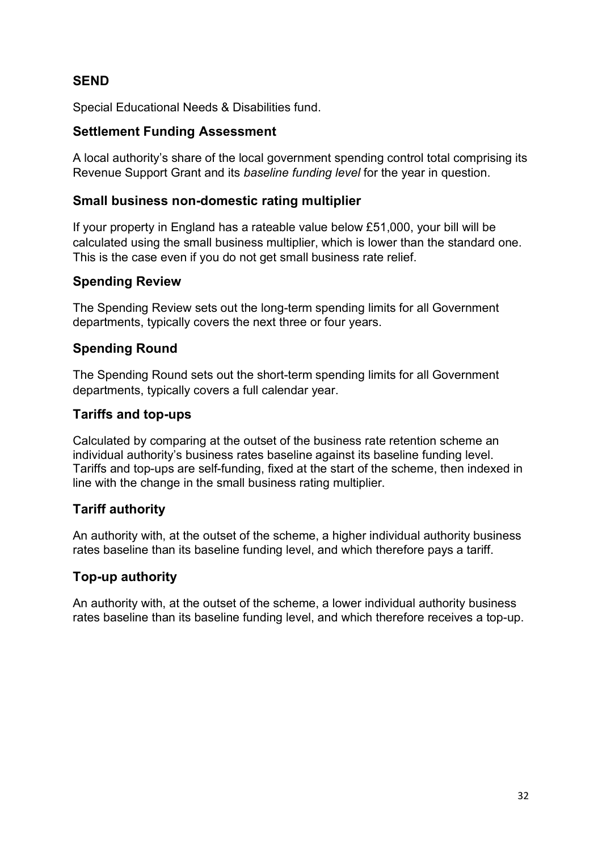## **SEND**

Special Educational Needs & Disabilities fund.

## **Settlement Funding Assessment**

A local authority's share of the local government spending control total comprising its Revenue Support Grant and its *baseline funding level* for the year in question.

## **Small business non-domestic rating multiplier**

If your property in England has a rateable value below £51,000, your bill will be calculated using the small business multiplier, which is lower than the standard one. This is the case even if you do not get small business rate relief.

## **Spending Review**

The Spending Review sets out the long-term spending limits for all Government departments, typically covers the next three or four years.

## **Spending Round**

The Spending Round sets out the short-term spending limits for all Government departments, typically covers a full calendar year.

## **Tariffs and top-ups**

Calculated by comparing at the outset of the business rate retention scheme an individual authority's business rates baseline against its baseline funding level. Tariffs and top-ups are self-funding, fixed at the start of the scheme, then indexed in line with the change in the small business rating multiplier.

## **Tariff authority**

An authority with, at the outset of the scheme, a higher individual authority business rates baseline than its baseline funding level, and which therefore pays a tariff.

## **Top-up authority**

An authority with, at the outset of the scheme, a lower individual authority business rates baseline than its baseline funding level, and which therefore receives a top-up.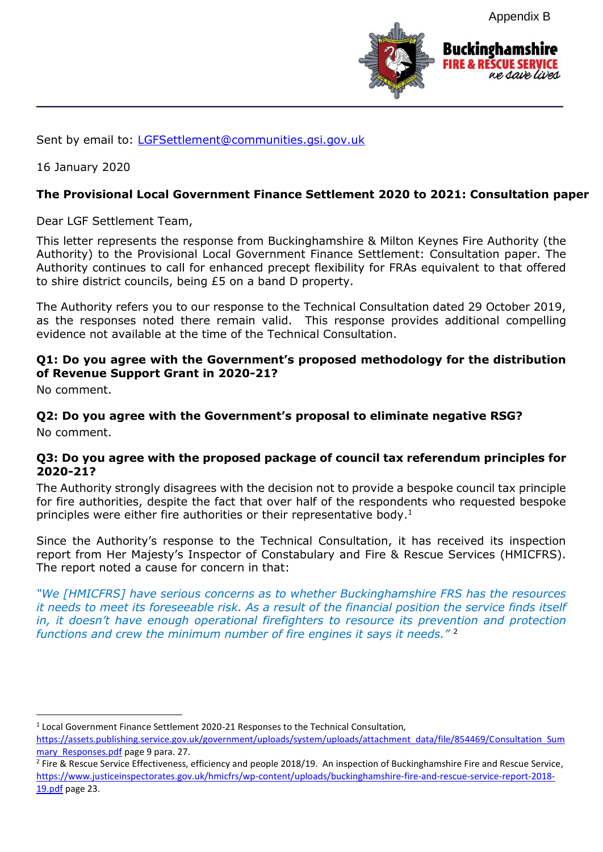Appendix B



Sent by email to: [LGFSettlement@communities.gsi.gov.uk](mailto:LGFSettlement@communities.gsi.gov.uk)

16 January 2020

#### **The Provisional Local Government Finance Settlement 2020 to 2021: Consultation paper**

Dear LGF Settlement Team,

This letter represents the response from Buckinghamshire & Milton Keynes Fire Authority (the Authority) to the Provisional Local Government Finance Settlement: Consultation paper. The Authority continues to call for enhanced precept flexibility for FRAs equivalent to that offered to shire district councils, being £5 on a band D property.

The Authority refers you to our response to the Technical Consultation dated 29 October 2019, as the responses noted there remain valid. This response provides additional compelling evidence not available at the time of the Technical Consultation.

#### **Q1: Do you agree with the Government's proposed methodology for the distribution of Revenue Support Grant in 2020-21?**

No comment.

1

#### **Q2: Do you agree with the Government's proposal to eliminate negative RSG?** No comment.

#### **Q3: Do you agree with the proposed package of council tax referendum principles for 2020-21?**

The Authority strongly disagrees with the decision not to provide a bespoke council tax principle for fire authorities, despite the fact that over half of the respondents who requested bespoke principles were either fire authorities or their representative body.<sup>1</sup>

Since the Authority's response to the Technical Consultation, it has received its inspection report from Her Majesty's Inspector of Constabulary and Fire & Rescue Services (HMICFRS). The report noted a cause for concern in that:

*"We [HMICFRS] have serious concerns as to whether Buckinghamshire FRS has the resources it needs to meet its foreseeable risk. As a result of the financial position the service finds itself in, it doesn't have enough operational firefighters to resource its prevention and protection functions and crew the minimum number of fire engines it says it needs."* <sup>2</sup>

<sup>&</sup>lt;sup>1</sup> Local Government Finance Settlement 2020-21 Responses to the Technical Consultation,

[https://assets.publishing.service.gov.uk/government/uploads/system/uploads/attachment\\_data/file/854469/Consultation\\_Sum](https://assets.publishing.service.gov.uk/government/uploads/system/uploads/attachment_data/file/854469/Consultation_Summary_Responses.pdf) mary Responses.pdf page 9 para. 27.

<sup>&</sup>lt;sup>2</sup> Fire & Rescue Service Effectiveness, efficiency and people 2018/19. An inspection of Buckinghamshire Fire and Rescue Service, [https://www.justiceinspectorates.gov.uk/hmicfrs/wp-content/uploads/buckinghamshire-fire-and-rescue-service-report-2018-](https://www.justiceinspectorates.gov.uk/hmicfrs/wp-content/uploads/buckinghamshire-fire-and-rescue-service-report-2018-19.pdf) [19.pdf](https://www.justiceinspectorates.gov.uk/hmicfrs/wp-content/uploads/buckinghamshire-fire-and-rescue-service-report-2018-19.pdf) page 23.